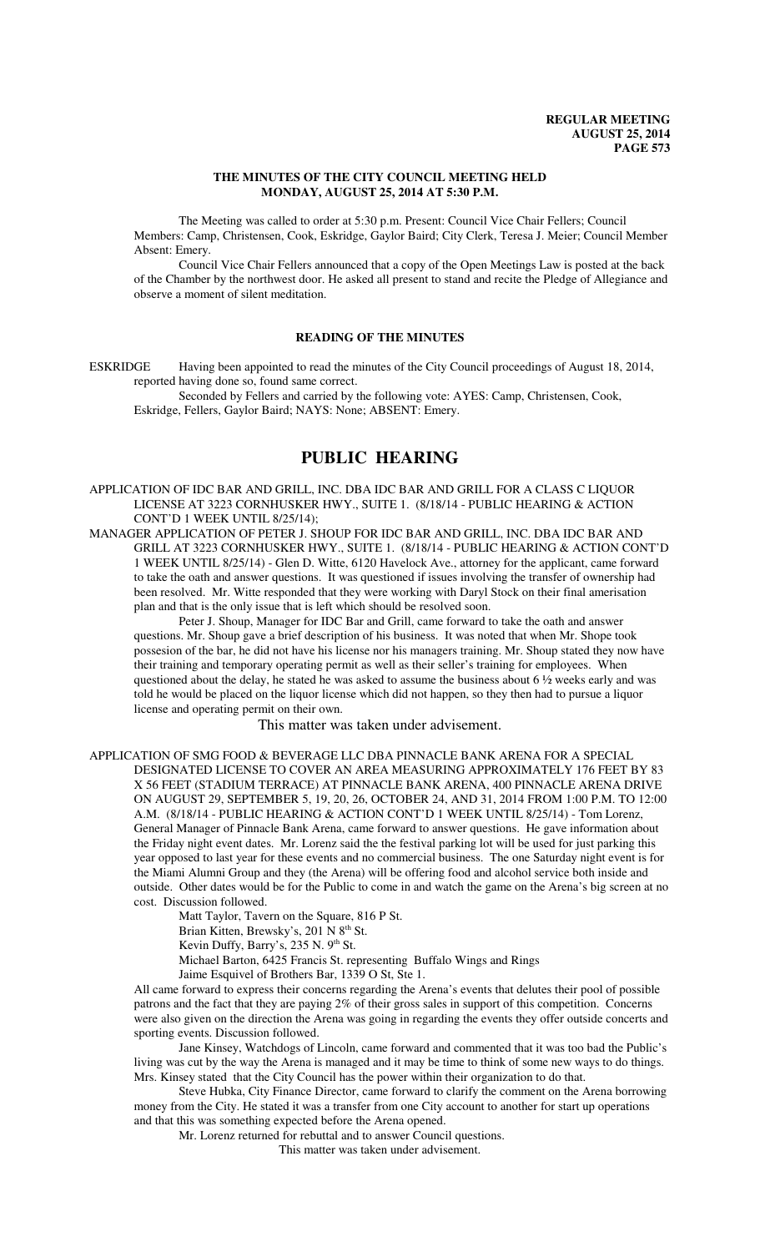#### **THE MINUTES OF THE CITY COUNCIL MEETING HELD MONDAY, AUGUST 25, 2014 AT 5:30 P.M.**

The Meeting was called to order at 5:30 p.m. Present: Council Vice Chair Fellers; Council Members: Camp, Christensen, Cook, Eskridge, Gaylor Baird; City Clerk, Teresa J. Meier; Council Member Absent: Emery.

Council Vice Chair Fellers announced that a copy of the Open Meetings Law is posted at the back of the Chamber by the northwest door. He asked all present to stand and recite the Pledge of Allegiance and observe a moment of silent meditation.

#### **READING OF THE MINUTES**

ESKRIDGE Having been appointed to read the minutes of the City Council proceedings of August 18, 2014, reported having done so, found same correct.

Seconded by Fellers and carried by the following vote: AYES: Camp, Christensen, Cook, Eskridge, Fellers, Gaylor Baird; NAYS: None; ABSENT: Emery.

# **PUBLIC HEARING**

APPLICATION OF IDC BAR AND GRILL, INC. DBA IDC BAR AND GRILL FOR A CLASS C LIQUOR LICENSE AT 3223 CORNHUSKER HWY., SUITE 1. (8/18/14 - PUBLIC HEARING & ACTION CONT'D 1 WEEK UNTIL 8/25/14);

MANAGER APPLICATION OF PETER J. SHOUP FOR IDC BAR AND GRILL, INC. DBA IDC BAR AND GRILL AT 3223 CORNHUSKER HWY., SUITE 1. (8/18/14 - PUBLIC HEARING & ACTION CONT'D 1 WEEK UNTIL 8/25/14) - Glen D. Witte, 6120 Havelock Ave., attorney for the applicant, came forward to take the oath and answer questions. It was questioned if issues involving the transfer of ownership had been resolved. Mr. Witte responded that they were working with Daryl Stock on their final amerisation plan and that is the only issue that is left which should be resolved soon.

Peter J. Shoup, Manager for IDC Bar and Grill, came forward to take the oath and answer questions. Mr. Shoup gave a brief description of his business. It was noted that when Mr. Shope took possesion of the bar, he did not have his license nor his managers training. Mr. Shoup stated they now have their training and temporary operating permit as well as their seller's training for employees. When questioned about the delay, he stated he was asked to assume the business about 6 ½ weeks early and was told he would be placed on the liquor license which did not happen, so they then had to pursue a liquor license and operating permit on their own.

## This matter was taken under advisement.

APPLICATION OF SMG FOOD & BEVERAGE LLC DBA PINNACLE BANK ARENA FOR A SPECIAL DESIGNATED LICENSE TO COVER AN AREA MEASURING APPROXIMATELY 176 FEET BY 83 X 56 FEET (STADIUM TERRACE) AT PINNACLE BANK ARENA, 400 PINNACLE ARENA DRIVE ON AUGUST 29, SEPTEMBER 5, 19, 20, 26, OCTOBER 24, AND 31, 2014 FROM 1:00 P.M. TO 12:00 A.M. (8/18/14 - PUBLIC HEARING & ACTION CONT'D 1 WEEK UNTIL 8/25/14) - Tom Lorenz, General Manager of Pinnacle Bank Arena, came forward to answer questions. He gave information about the Friday night event dates. Mr. Lorenz said the the festival parking lot will be used for just parking this year opposed to last year for these events and no commercial business. The one Saturday night event is for the Miami Alumni Group and they (the Arena) will be offering food and alcohol service both inside and outside. Other dates would be for the Public to come in and watch the game on the Arena's big screen at no cost. Discussion followed.

Matt Taylor, Tavern on the Square, 816 P St.

Brian Kitten, Brewsky's, 201 N 8<sup>th</sup> St.

Kevin Duffy, Barry's, 235 N. 9<sup>th</sup> St.

Michael Barton, 6425 Francis St. representing Buffalo Wings and Rings

Jaime Esquivel of Brothers Bar, 1339 O St, Ste 1.

All came forward to express their concerns regarding the Arena's events that delutes their pool of possible patrons and the fact that they are paying 2% of their gross sales in support of this competition. Concerns were also given on the direction the Arena was going in regarding the events they offer outside concerts and sporting events. Discussion followed.

Jane Kinsey, Watchdogs of Lincoln, came forward and commented that it was too bad the Public's living was cut by the way the Arena is managed and it may be time to think of some new ways to do things. Mrs. Kinsey stated that the City Council has the power within their organization to do that.

Steve Hubka, City Finance Director, came forward to clarify the comment on the Arena borrowing money from the City. He stated it was a transfer from one City account to another for start up operations and that this was something expected before the Arena opened.

Mr. Lorenz returned for rebuttal and to answer Council questions.

This matter was taken under advisement.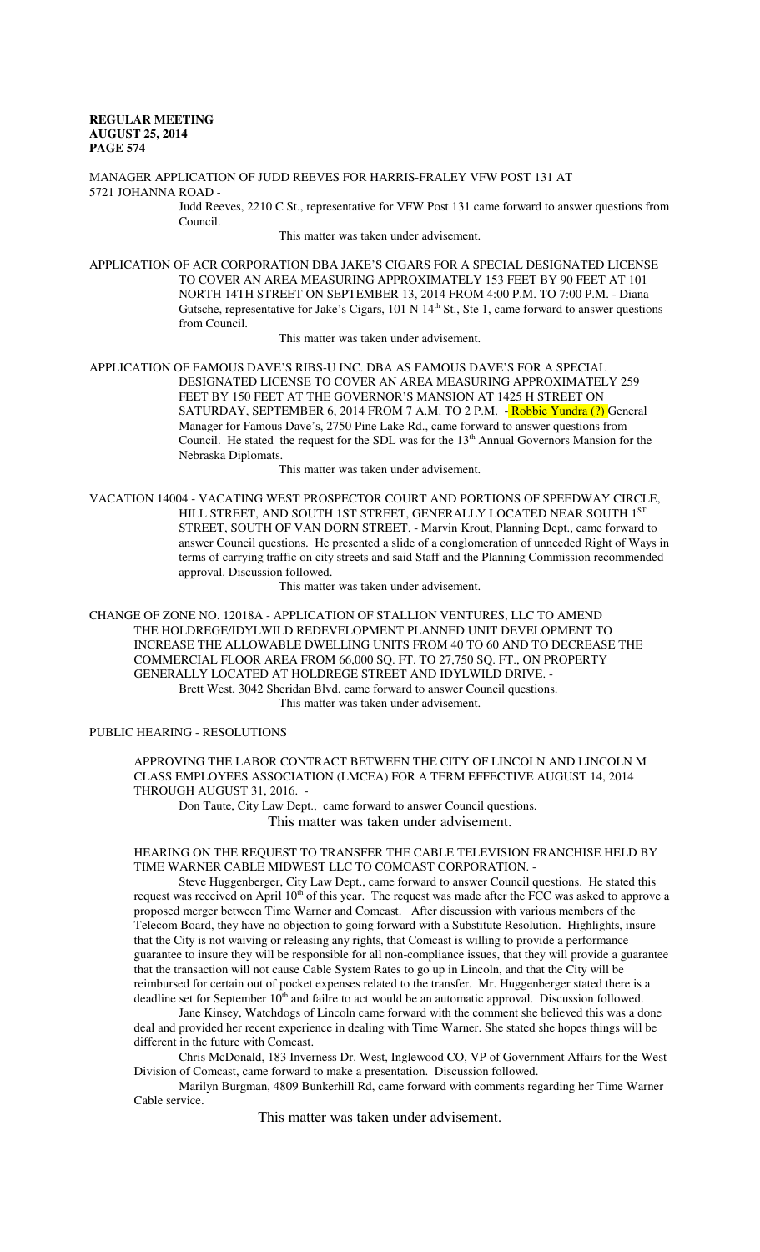MANAGER APPLICATION OF JUDD REEVES FOR HARRIS-FRALEY VFW POST 131 AT 5721 JOHANNA ROAD -

Judd Reeves, 2210 C St., representative for VFW Post 131 came forward to answer questions from Council.

This matter was taken under advisement.

APPLICATION OF ACR CORPORATION DBA JAKE'S CIGARS FOR A SPECIAL DESIGNATED LICENSE TO COVER AN AREA MEASURING APPROXIMATELY 153 FEET BY 90 FEET AT 101 NORTH 14TH STREET ON SEPTEMBER 13, 2014 FROM 4:00 P.M. TO 7:00 P.M. - Diana Gutsche, representative for Jake's Cigars, 101 N 14<sup>th</sup> St., Ste 1, came forward to answer questions from Council.

This matter was taken under advisement.

APPLICATION OF FAMOUS DAVE'S RIBS-U INC. DBA AS FAMOUS DAVE'S FOR A SPECIAL DESIGNATED LICENSE TO COVER AN AREA MEASURING APPROXIMATELY 259 FEET BY 150 FEET AT THE GOVERNOR'S MANSION AT 1425 H STREET ON SATURDAY, SEPTEMBER 6, 2014 FROM 7 A.M. TO 2 P.M. - Robbie Yundra (?) General Manager for Famous Dave's, 2750 Pine Lake Rd., came forward to answer questions from Council. He stated the request for the SDL was for the 13<sup>th</sup> Annual Governors Mansion for the Nebraska Diplomats.

This matter was taken under advisement.

VACATION 14004 - VACATING WEST PROSPECTOR COURT AND PORTIONS OF SPEEDWAY CIRCLE, HILL STREET, AND SOUTH 1ST STREET, GENERALLY LOCATED NEAR SOUTH 1ST STREET, SOUTH OF VAN DORN STREET. - Marvin Krout, Planning Dept., came forward to answer Council questions. He presented a slide of a conglomeration of unneeded Right of Ways in terms of carrying traffic on city streets and said Staff and the Planning Commission recommended approval. Discussion followed.

This matter was taken under advisement.

CHANGE OF ZONE NO. 12018A - APPLICATION OF STALLION VENTURES, LLC TO AMEND THE HOLDREGE/IDYLWILD REDEVELOPMENT PLANNED UNIT DEVELOPMENT TO INCREASE THE ALLOWABLE DWELLING UNITS FROM 40 TO 60 AND TO DECREASE THE COMMERCIAL FLOOR AREA FROM 66,000 SQ. FT. TO 27,750 SQ. FT., ON PROPERTY GENERALLY LOCATED AT HOLDREGE STREET AND IDYLWILD DRIVE. - Brett West, 3042 Sheridan Blvd, came forward to answer Council questions. This matter was taken under advisement.

PUBLIC HEARING - RESOLUTIONS

APPROVING THE LABOR CONTRACT BETWEEN THE CITY OF LINCOLN AND LINCOLN M CLASS EMPLOYEES ASSOCIATION (LMCEA) FOR A TERM EFFECTIVE AUGUST 14, 2014 THROUGH AUGUST 31, 2016. -

Don Taute, City Law Dept., came forward to answer Council questions. This matter was taken under advisement.

#### HEARING ON THE REQUEST TO TRANSFER THE CABLE TELEVISION FRANCHISE HELD BY TIME WARNER CABLE MIDWEST LLC TO COMCAST CORPORATION. -

Steve Huggenberger, City Law Dept., came forward to answer Council questions. He stated this request was received on April 10<sup>th</sup> of this year. The request was made after the FCC was asked to approve a proposed merger between Time Warner and Comcast. After discussion with various members of the Telecom Board, they have no objection to going forward with a Substitute Resolution. Highlights, insure that the City is not waiving or releasing any rights, that Comcast is willing to provide a performance guarantee to insure they will be responsible for all non-compliance issues, that they will provide a guarantee that the transaction will not cause Cable System Rates to go up in Lincoln, and that the City will be reimbursed for certain out of pocket expenses related to the transfer. Mr. Huggenberger stated there is a deadline set for September  $10<sup>th</sup>$  and failre to act would be an automatic approval. Discussion followed.

Jane Kinsey, Watchdogs of Lincoln came forward with the comment she believed this was a done deal and provided her recent experience in dealing with Time Warner. She stated she hopes things will be different in the future with Comcast.

Chris McDonald, 183 Inverness Dr. West, Inglewood CO, VP of Government Affairs for the West Division of Comcast, came forward to make a presentation. Discussion followed.

Marilyn Burgman, 4809 Bunkerhill Rd, came forward with comments regarding her Time Warner Cable service.

This matter was taken under advisement.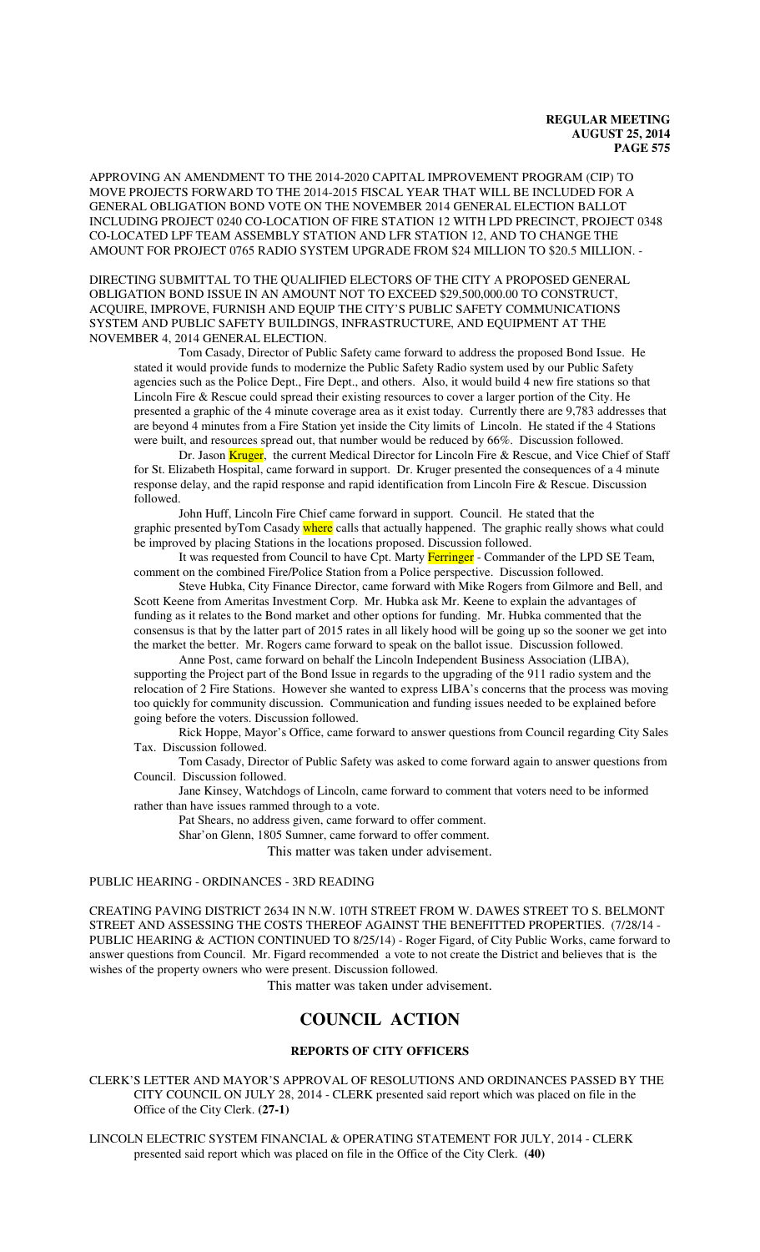APPROVING AN AMENDMENT TO THE 2014-2020 CAPITAL IMPROVEMENT PROGRAM (CIP) TO MOVE PROJECTS FORWARD TO THE 2014-2015 FISCAL YEAR THAT WILL BE INCLUDED FOR A GENERAL OBLIGATION BOND VOTE ON THE NOVEMBER 2014 GENERAL ELECTION BALLOT INCLUDING PROJECT 0240 CO-LOCATION OF FIRE STATION 12 WITH LPD PRECINCT, PROJECT 0348 CO-LOCATED LPF TEAM ASSEMBLY STATION AND LFR STATION 12, AND TO CHANGE THE AMOUNT FOR PROJECT 0765 RADIO SYSTEM UPGRADE FROM \$24 MILLION TO \$20.5 MILLION. -

DIRECTING SUBMITTAL TO THE QUALIFIED ELECTORS OF THE CITY A PROPOSED GENERAL OBLIGATION BOND ISSUE IN AN AMOUNT NOT TO EXCEED \$29,500,000.00 TO CONSTRUCT, ACQUIRE, IMPROVE, FURNISH AND EQUIP THE CITY'S PUBLIC SAFETY COMMUNICATIONS SYSTEM AND PUBLIC SAFETY BUILDINGS, INFRASTRUCTURE, AND EQUIPMENT AT THE NOVEMBER 4, 2014 GENERAL ELECTION.

Tom Casady, Director of Public Safety came forward to address the proposed Bond Issue. He stated it would provide funds to modernize the Public Safety Radio system used by our Public Safety agencies such as the Police Dept., Fire Dept., and others. Also, it would build 4 new fire stations so that Lincoln Fire & Rescue could spread their existing resources to cover a larger portion of the City. He presented a graphic of the 4 minute coverage area as it exist today. Currently there are 9,783 addresses that are beyond 4 minutes from a Fire Station yet inside the City limits of Lincoln. He stated if the 4 Stations were built, and resources spread out, that number would be reduced by 66%. Discussion followed.

Dr. Jason Kruger, the current Medical Director for Lincoln Fire & Rescue, and Vice Chief of Staff for St. Elizabeth Hospital, came forward in support. Dr. Kruger presented the consequences of a 4 minute response delay, and the rapid response and rapid identification from Lincoln Fire & Rescue. Discussion followed.

John Huff, Lincoln Fire Chief came forward in support. Council. He stated that the graphic presented byTom Casady where calls that actually happened. The graphic really shows what could be improved by placing Stations in the locations proposed. Discussion followed.

It was requested from Council to have Cpt. Marty Ferringer - Commander of the LPD SE Team, comment on the combined Fire/Police Station from a Police perspective. Discussion followed.

Steve Hubka, City Finance Director, came forward with Mike Rogers from Gilmore and Bell, and Scott Keene from Ameritas Investment Corp. Mr. Hubka ask Mr. Keene to explain the advantages of funding as it relates to the Bond market and other options for funding. Mr. Hubka commented that the consensus is that by the latter part of 2015 rates in all likely hood will be going up so the sooner we get into the market the better. Mr. Rogers came forward to speak on the ballot issue. Discussion followed.

Anne Post, came forward on behalf the Lincoln Independent Business Association (LIBA), supporting the Project part of the Bond Issue in regards to the upgrading of the 911 radio system and the relocation of 2 Fire Stations. However she wanted to express LIBA's concerns that the process was moving too quickly for community discussion. Communication and funding issues needed to be explained before going before the voters. Discussion followed.

Rick Hoppe, Mayor's Office, came forward to answer questions from Council regarding City Sales Tax. Discussion followed.

Tom Casady, Director of Public Safety was asked to come forward again to answer questions from Council. Discussion followed.

Jane Kinsey, Watchdogs of Lincoln, came forward to comment that voters need to be informed rather than have issues rammed through to a vote.

Pat Shears, no address given, came forward to offer comment.

Shar'on Glenn, 1805 Sumner, came forward to offer comment.

This matter was taken under advisement.

## PUBLIC HEARING - ORDINANCES - 3RD READING

CREATING PAVING DISTRICT 2634 IN N.W. 10TH STREET FROM W. DAWES STREET TO S. BELMONT STREET AND ASSESSING THE COSTS THEREOF AGAINST THE BENEFITTED PROPERTIES. (7/28/14 - PUBLIC HEARING & ACTION CONTINUED TO 8/25/14) - Roger Figard, of City Public Works, came forward to answer questions from Council. Mr. Figard recommended a vote to not create the District and believes that is the wishes of the property owners who were present. Discussion followed.

This matter was taken under advisement.

# **COUNCIL ACTION**

# **REPORTS OF CITY OFFICERS**

CLERK'S LETTER AND MAYOR'S APPROVAL OF RESOLUTIONS AND ORDINANCES PASSED BY THE CITY COUNCIL ON JULY 28, 2014 - CLERK presented said report which was placed on file in the Office of the City Clerk. **(27-1)**

LINCOLN ELECTRIC SYSTEM FINANCIAL & OPERATING STATEMENT FOR JULY, 2014 - CLERK presented said report which was placed on file in the Office of the City Clerk. **(40)**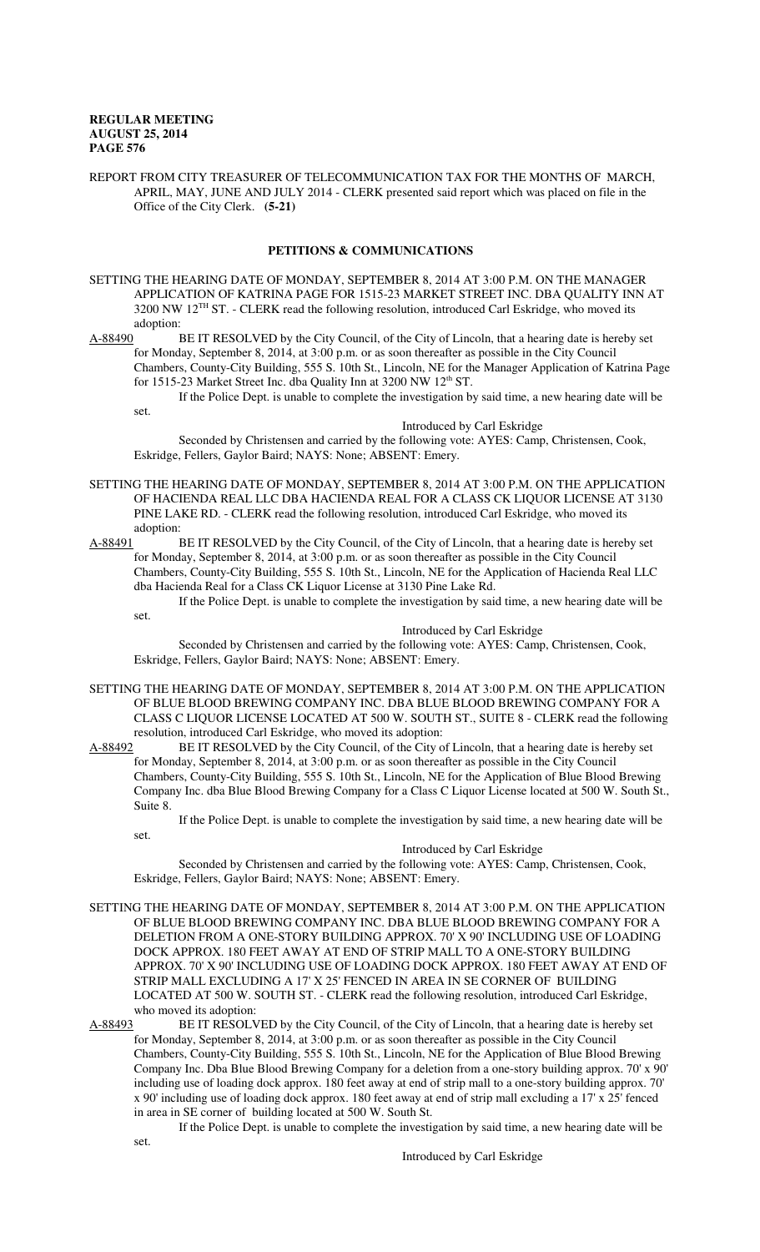REPORT FROM CITY TREASURER OF TELECOMMUNICATION TAX FOR THE MONTHS OF MARCH, APRIL, MAY, JUNE AND JULY 2014 - CLERK presented said report which was placed on file in the Office of the City Clerk. **(5-21)**

# **PETITIONS & COMMUNICATIONS**

SETTING THE HEARING DATE OF MONDAY, SEPTEMBER 8, 2014 AT 3:00 P.M. ON THE MANAGER APPLICATION OF KATRINA PAGE FOR 1515-23 MARKET STREET INC. DBA QUALITY INN AT 3200 NW 12TH ST. - CLERK read the following resolution, introduced Carl Eskridge, who moved its adoption:

A-88490 BE IT RESOLVED by the City Council, of the City of Lincoln, that a hearing date is hereby set for Monday, September 8, 2014, at 3:00 p.m. or as soon thereafter as possible in the City Council Chambers, County-City Building, 555 S. 10th St., Lincoln, NE for the Manager Application of Katrina Page for 1515-23 Market Street Inc. dba Quality Inn at 3200 NW 12<sup>th</sup> ST.

If the Police Dept. is unable to complete the investigation by said time, a new hearing date will be set.

# Introduced by Carl Eskridge

Seconded by Christensen and carried by the following vote: AYES: Camp, Christensen, Cook, Eskridge, Fellers, Gaylor Baird; NAYS: None; ABSENT: Emery.

- SETTING THE HEARING DATE OF MONDAY, SEPTEMBER 8, 2014 AT 3:00 P.M. ON THE APPLICATION OF HACIENDA REAL LLC DBA HACIENDA REAL FOR A CLASS CK LIQUOR LICENSE AT 3130 PINE LAKE RD. - CLERK read the following resolution, introduced Carl Eskridge, who moved its adoption:
- A-88491 BE IT RESOLVED by the City Council, of the City of Lincoln, that a hearing date is hereby set for Monday, September 8, 2014, at 3:00 p.m. or as soon thereafter as possible in the City Council Chambers, County-City Building, 555 S. 10th St., Lincoln, NE for the Application of Hacienda Real LLC dba Hacienda Real for a Class CK Liquor License at 3130 Pine Lake Rd.

If the Police Dept. is unable to complete the investigation by said time, a new hearing date will be set.

### Introduced by Carl Eskridge

Seconded by Christensen and carried by the following vote: AYES: Camp, Christensen, Cook, Eskridge, Fellers, Gaylor Baird; NAYS: None; ABSENT: Emery.

- SETTING THE HEARING DATE OF MONDAY, SEPTEMBER 8, 2014 AT 3:00 P.M. ON THE APPLICATION OF BLUE BLOOD BREWING COMPANY INC. DBA BLUE BLOOD BREWING COMPANY FOR A CLASS C LIQUOR LICENSE LOCATED AT 500 W. SOUTH ST., SUITE 8 - CLERK read the following resolution, introduced Carl Eskridge, who moved its adoption:
- A-88492 BE IT RESOLVED by the City Council, of the City of Lincoln, that a hearing date is hereby set for Monday, September 8, 2014, at 3:00 p.m. or as soon thereafter as possible in the City Council Chambers, County-City Building, 555 S. 10th St., Lincoln, NE for the Application of Blue Blood Brewing Company Inc. dba Blue Blood Brewing Company for a Class C Liquor License located at 500 W. South St., Suite 8.

If the Police Dept. is unable to complete the investigation by said time, a new hearing date will be

# Introduced by Carl Eskridge

Seconded by Christensen and carried by the following vote: AYES: Camp, Christensen, Cook, Eskridge, Fellers, Gaylor Baird; NAYS: None; ABSENT: Emery.

SETTING THE HEARING DATE OF MONDAY, SEPTEMBER 8, 2014 AT 3:00 P.M. ON THE APPLICATION OF BLUE BLOOD BREWING COMPANY INC. DBA BLUE BLOOD BREWING COMPANY FOR A DELETION FROM A ONE-STORY BUILDING APPROX. 70' X 90' INCLUDING USE OF LOADING DOCK APPROX. 180 FEET AWAY AT END OF STRIP MALL TO A ONE-STORY BUILDING APPROX. 70' X 90' INCLUDING USE OF LOADING DOCK APPROX. 180 FEET AWAY AT END OF STRIP MALL EXCLUDING A 17' X 25' FENCED IN AREA IN SE CORNER OF BUILDING LOCATED AT 500 W. SOUTH ST. - CLERK read the following resolution, introduced Carl Eskridge, who moved its adoption:<br>A-88493 BE IT RESOLV

set.

BE IT RESOLVED by the City Council, of the City of Lincoln, that a hearing date is hereby set for Monday, September 8, 2014, at 3:00 p.m. or as soon thereafter as possible in the City Council

Chambers, County-City Building, 555 S. 10th St., Lincoln, NE for the Application of Blue Blood Brewing Company Inc. Dba Blue Blood Brewing Company for a deletion from a one-story building approx. 70' x 90' including use of loading dock approx. 180 feet away at end of strip mall to a one-story building approx. 70' x 90' including use of loading dock approx. 180 feet away at end of strip mall excluding a 17' x 25' fenced in area in SE corner of building located at 500 W. South St.

If the Police Dept. is unable to complete the investigation by said time, a new hearing date will be set.

Introduced by Carl Eskridge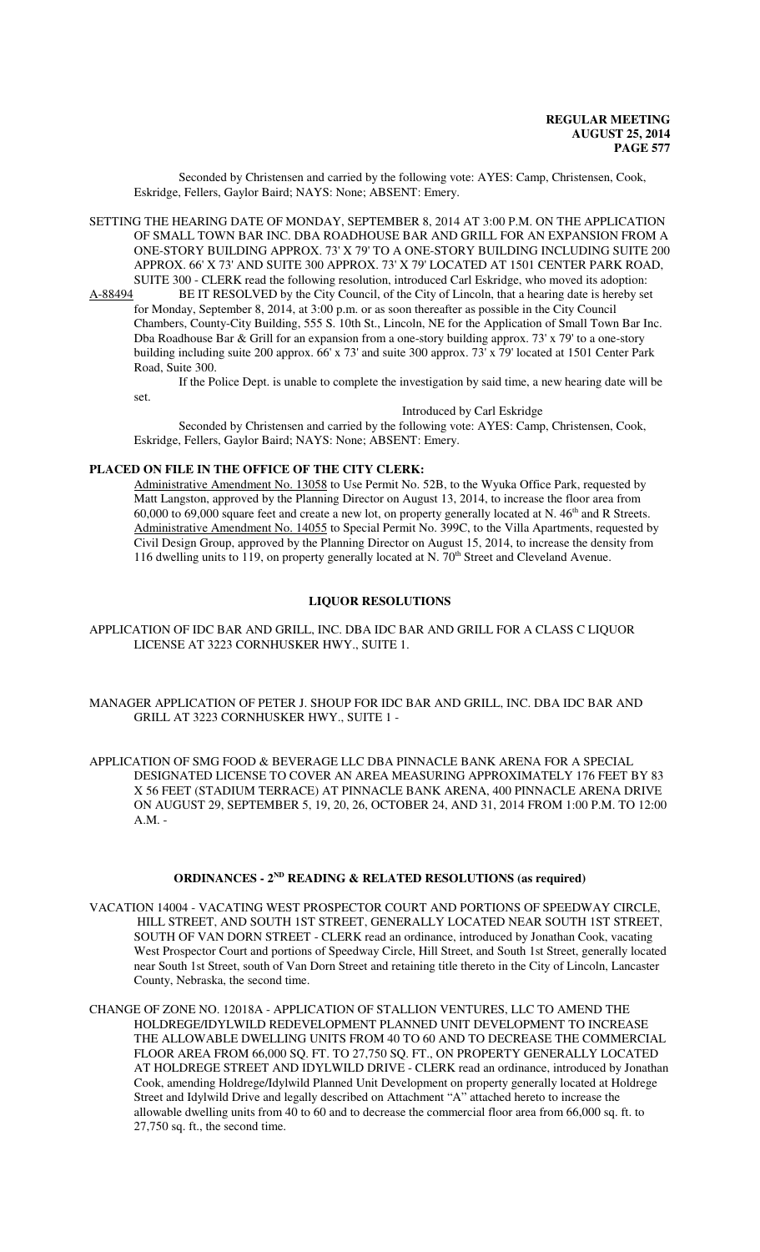Seconded by Christensen and carried by the following vote: AYES: Camp, Christensen, Cook, Eskridge, Fellers, Gaylor Baird; NAYS: None; ABSENT: Emery.

SETTING THE HEARING DATE OF MONDAY, SEPTEMBER 8, 2014 AT 3:00 P.M. ON THE APPLICATION OF SMALL TOWN BAR INC. DBA ROADHOUSE BAR AND GRILL FOR AN EXPANSION FROM A ONE-STORY BUILDING APPROX. 73' X 79' TO A ONE-STORY BUILDING INCLUDING SUITE 200 APPROX. 66' X 73' AND SUITE 300 APPROX. 73' X 79' LOCATED AT 1501 CENTER PARK ROAD, SUITE 300 - CLERK read the following resolution, introduced Carl Eskridge, who moved its adoption:<br>A-88494 BE IT RESOLVED by the City Council, of the City of Lincoln, that a hearing date is hereby se

BE IT RESOLVED by the City Council, of the City of Lincoln, that a hearing date is hereby set for Monday, September 8, 2014, at 3:00 p.m. or as soon thereafter as possible in the City Council Chambers, County-City Building, 555 S. 10th St., Lincoln, NE for the Application of Small Town Bar Inc. Dba Roadhouse Bar & Grill for an expansion from a one-story building approx. 73' x 79' to a one-story building including suite 200 approx. 66' x 73' and suite 300 approx. 73' x 79' located at 1501 Center Park Road, Suite 300.

If the Police Dept. is unable to complete the investigation by said time, a new hearing date will be set.

Introduced by Carl Eskridge

Seconded by Christensen and carried by the following vote: AYES: Camp, Christensen, Cook, Eskridge, Fellers, Gaylor Baird; NAYS: None; ABSENT: Emery.

# **PLACED ON FILE IN THE OFFICE OF THE CITY CLERK:**

Administrative Amendment No. 13058 to Use Permit No. 52B, to the Wyuka Office Park, requested by Matt Langston, approved by the Planning Director on August 13, 2014, to increase the floor area from  $60,000$  to  $69,000$  square feet and create a new lot, on property generally located at N.  $46<sup>th</sup>$  and R Streets. Administrative Amendment No. 14055 to Special Permit No. 399C, to the Villa Apartments, requested by Civil Design Group, approved by the Planning Director on August 15, 2014, to increase the density from 116 dwelling units to 119, on property generally located at N. 70<sup>th</sup> Street and Cleveland Avenue.

# **LIQUOR RESOLUTIONS**

- APPLICATION OF IDC BAR AND GRILL, INC. DBA IDC BAR AND GRILL FOR A CLASS C LIQUOR LICENSE AT 3223 CORNHUSKER HWY., SUITE 1.
- MANAGER APPLICATION OF PETER J. SHOUP FOR IDC BAR AND GRILL, INC. DBA IDC BAR AND GRILL AT 3223 CORNHUSKER HWY., SUITE 1 -
- APPLICATION OF SMG FOOD & BEVERAGE LLC DBA PINNACLE BANK ARENA FOR A SPECIAL DESIGNATED LICENSE TO COVER AN AREA MEASURING APPROXIMATELY 176 FEET BY 83 X 56 FEET (STADIUM TERRACE) AT PINNACLE BANK ARENA, 400 PINNACLE ARENA DRIVE ON AUGUST 29, SEPTEMBER 5, 19, 20, 26, OCTOBER 24, AND 31, 2014 FROM 1:00 P.M. TO 12:00 A.M. -

# **ORDINANCES - 2ND READING & RELATED RESOLUTIONS (as required)**

- VACATION 14004 VACATING WEST PROSPECTOR COURT AND PORTIONS OF SPEEDWAY CIRCLE, HILL STREET, AND SOUTH 1ST STREET, GENERALLY LOCATED NEAR SOUTH 1ST STREET, SOUTH OF VAN DORN STREET - CLERK read an ordinance, introduced by Jonathan Cook, vacating West Prospector Court and portions of Speedway Circle, Hill Street, and South 1st Street, generally located near South 1st Street, south of Van Dorn Street and retaining title thereto in the City of Lincoln, Lancaster County, Nebraska, the second time.
- CHANGE OF ZONE NO. 12018A APPLICATION OF STALLION VENTURES, LLC TO AMEND THE HOLDREGE/IDYLWILD REDEVELOPMENT PLANNED UNIT DEVELOPMENT TO INCREASE THE ALLOWABLE DWELLING UNITS FROM 40 TO 60 AND TO DECREASE THE COMMERCIAL FLOOR AREA FROM 66,000 SQ. FT. TO 27,750 SQ. FT., ON PROPERTY GENERALLY LOCATED AT HOLDREGE STREET AND IDYLWILD DRIVE - CLERK read an ordinance, introduced by Jonathan Cook, amending Holdrege/Idylwild Planned Unit Development on property generally located at Holdrege Street and Idylwild Drive and legally described on Attachment "A" attached hereto to increase the allowable dwelling units from 40 to 60 and to decrease the commercial floor area from 66,000 sq. ft. to 27,750 sq. ft., the second time.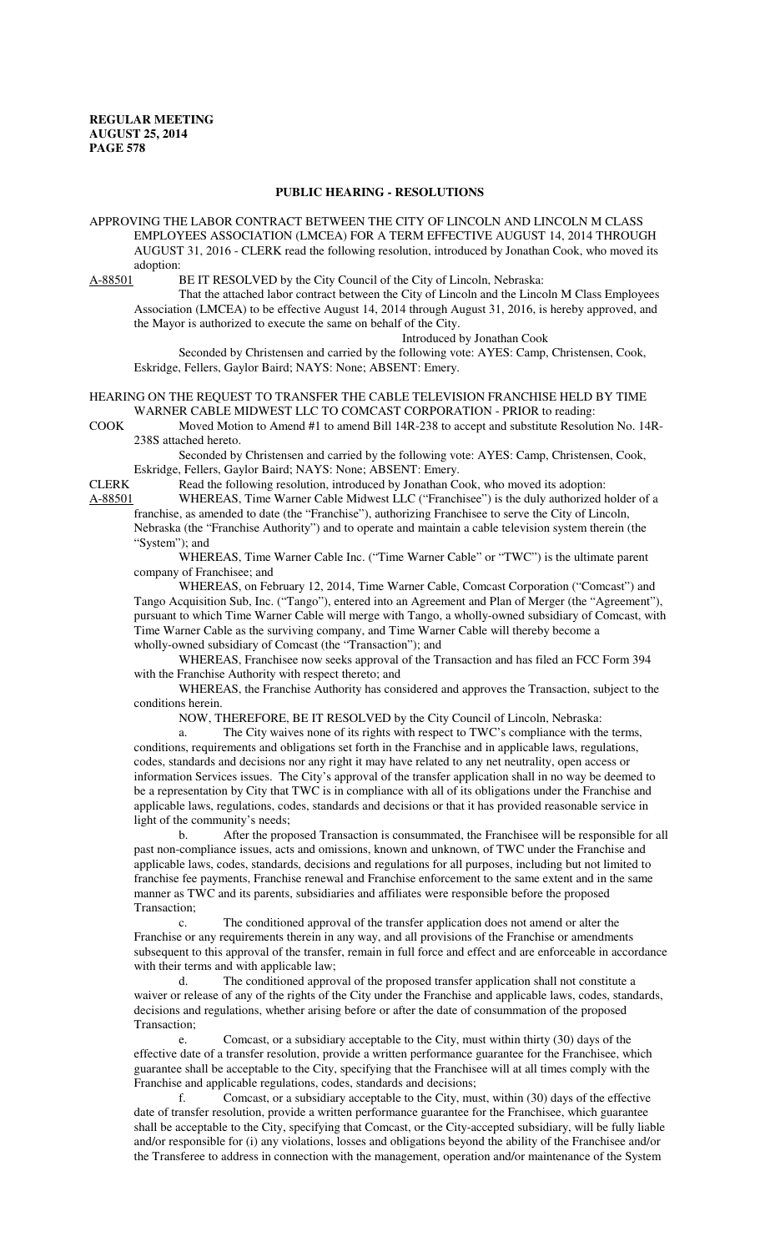#### **PUBLIC HEARING - RESOLUTIONS**

APPROVING THE LABOR CONTRACT BETWEEN THE CITY OF LINCOLN AND LINCOLN M CLASS EMPLOYEES ASSOCIATION (LMCEA) FOR A TERM EFFECTIVE AUGUST 14, 2014 THROUGH AUGUST 31, 2016 - CLERK read the following resolution, introduced by Jonathan Cook, who moved its adoption:<br>A-88501 F

BE IT RESOLVED by the City Council of the City of Lincoln, Nebraska:

That the attached labor contract between the City of Lincoln and the Lincoln M Class Employees Association (LMCEA) to be effective August 14, 2014 through August 31, 2016, is hereby approved, and the Mayor is authorized to execute the same on behalf of the City.

Introduced by Jonathan Cook Seconded by Christensen and carried by the following vote: AYES: Camp, Christensen, Cook, Eskridge, Fellers, Gaylor Baird; NAYS: None; ABSENT: Emery.

HEARING ON THE REQUEST TO TRANSFER THE CABLE TELEVISION FRANCHISE HELD BY TIME WARNER CABLE MIDWEST LLC TO COMCAST CORPORATION - PRIOR to reading:

COOK Moved Motion to Amend #1 to amend Bill 14R-238 to accept and substitute Resolution No. 14R-238S attached hereto.

Seconded by Christensen and carried by the following vote: AYES: Camp, Christensen, Cook, Eskridge, Fellers, Gaylor Baird; NAYS: None; ABSENT: Emery.<br>CLERK Read the following resolution, introduced by Jonathan Co

Read the following resolution, introduced by Jonathan Cook, who moved its adoption:

A-88501 WHEREAS, Time Warner Cable Midwest LLC ("Franchisee") is the duly authorized holder of a franchise, as amended to date (the "Franchise"), authorizing Franchisee to serve the City of Lincoln, Nebraska (the "Franchise Authority") and to operate and maintain a cable television system therein (the "System"); and

WHEREAS, Time Warner Cable Inc. ("Time Warner Cable" or "TWC") is the ultimate parent company of Franchisee; and

WHEREAS, on February 12, 2014, Time Warner Cable, Comcast Corporation ("Comcast") and Tango Acquisition Sub, Inc. ("Tango"), entered into an Agreement and Plan of Merger (the "Agreement"), pursuant to which Time Warner Cable will merge with Tango, a wholly-owned subsidiary of Comcast, with Time Warner Cable as the surviving company, and Time Warner Cable will thereby become a wholly-owned subsidiary of Comcast (the "Transaction"); and

WHEREAS, Franchisee now seeks approval of the Transaction and has filed an FCC Form 394 with the Franchise Authority with respect thereto; and

WHEREAS, the Franchise Authority has considered and approves the Transaction, subject to the conditions herein.

NOW, THEREFORE, BE IT RESOLVED by the City Council of Lincoln, Nebraska:

a. The City waives none of its rights with respect to TWC's compliance with the terms, conditions, requirements and obligations set forth in the Franchise and in applicable laws, regulations, codes, standards and decisions nor any right it may have related to any net neutrality, open access or information Services issues. The City's approval of the transfer application shall in no way be deemed to be a representation by City that TWC is in compliance with all of its obligations under the Franchise and applicable laws, regulations, codes, standards and decisions or that it has provided reasonable service in light of the community's needs;

b. After the proposed Transaction is consummated, the Franchisee will be responsible for all past non-compliance issues, acts and omissions, known and unknown, of TWC under the Franchise and applicable laws, codes, standards, decisions and regulations for all purposes, including but not limited to franchise fee payments, Franchise renewal and Franchise enforcement to the same extent and in the same manner as TWC and its parents, subsidiaries and affiliates were responsible before the proposed Transaction;

c. The conditioned approval of the transfer application does not amend or alter the Franchise or any requirements therein in any way, and all provisions of the Franchise or amendments subsequent to this approval of the transfer, remain in full force and effect and are enforceable in accordance with their terms and with applicable law;

d. The conditioned approval of the proposed transfer application shall not constitute a waiver or release of any of the rights of the City under the Franchise and applicable laws, codes, standards, decisions and regulations, whether arising before or after the date of consummation of the proposed Transaction;

e. Comcast, or a subsidiary acceptable to the City, must within thirty (30) days of the effective date of a transfer resolution, provide a written performance guarantee for the Franchisee, which guarantee shall be acceptable to the City, specifying that the Franchisee will at all times comply with the Franchise and applicable regulations, codes, standards and decisions;

f. Comcast, or a subsidiary acceptable to the City, must, within (30) days of the effective date of transfer resolution, provide a written performance guarantee for the Franchisee, which guarantee shall be acceptable to the City, specifying that Comcast, or the City-accepted subsidiary, will be fully liable and/or responsible for (i) any violations, losses and obligations beyond the ability of the Franchisee and/or the Transferee to address in connection with the management, operation and/or maintenance of the System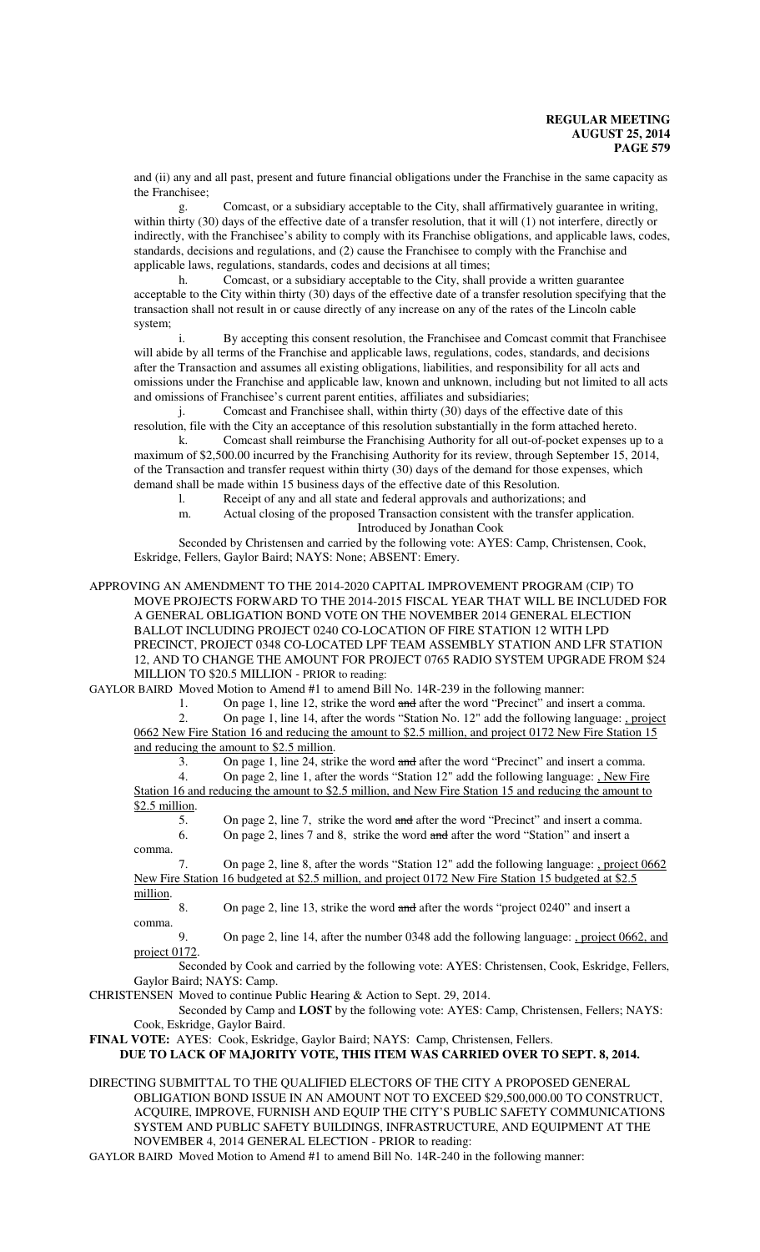and (ii) any and all past, present and future financial obligations under the Franchise in the same capacity as the Franchisee;

g. Comcast, or a subsidiary acceptable to the City, shall affirmatively guarantee in writing, within thirty (30) days of the effective date of a transfer resolution, that it will (1) not interfere, directly or indirectly, with the Franchisee's ability to comply with its Franchise obligations, and applicable laws, codes, standards, decisions and regulations, and (2) cause the Franchisee to comply with the Franchise and applicable laws, regulations, standards, codes and decisions at all times;

h. Comcast, or a subsidiary acceptable to the City, shall provide a written guarantee acceptable to the City within thirty (30) days of the effective date of a transfer resolution specifying that the transaction shall not result in or cause directly of any increase on any of the rates of the Lincoln cable system;

i. By accepting this consent resolution, the Franchisee and Comcast commit that Franchisee will abide by all terms of the Franchise and applicable laws, regulations, codes, standards, and decisions after the Transaction and assumes all existing obligations, liabilities, and responsibility for all acts and omissions under the Franchise and applicable law, known and unknown, including but not limited to all acts and omissions of Franchisee's current parent entities, affiliates and subsidiaries;

j. Comcast and Franchisee shall, within thirty (30) days of the effective date of this resolution, file with the City an acceptance of this resolution substantially in the form attached hereto.

k. Comcast shall reimburse the Franchising Authority for all out-of-pocket expenses up to a maximum of \$2,500.00 incurred by the Franchising Authority for its review, through September 15, 2014, of the Transaction and transfer request within thirty (30) days of the demand for those expenses, which demand shall be made within 15 business days of the effective date of this Resolution.

l. Receipt of any and all state and federal approvals and authorizations; and

m. Actual closing of the proposed Transaction consistent with the transfer application. Introduced by Jonathan Cook

Seconded by Christensen and carried by the following vote: AYES: Camp, Christensen, Cook, Eskridge, Fellers, Gaylor Baird; NAYS: None; ABSENT: Emery.

APPROVING AN AMENDMENT TO THE 2014-2020 CAPITAL IMPROVEMENT PROGRAM (CIP) TO MOVE PROJECTS FORWARD TO THE 2014-2015 FISCAL YEAR THAT WILL BE INCLUDED FOR A GENERAL OBLIGATION BOND VOTE ON THE NOVEMBER 2014 GENERAL ELECTION BALLOT INCLUDING PROJECT 0240 CO-LOCATION OF FIRE STATION 12 WITH LPD PRECINCT, PROJECT 0348 CO-LOCATED LPF TEAM ASSEMBLY STATION AND LFR STATION 12, AND TO CHANGE THE AMOUNT FOR PROJECT 0765 RADIO SYSTEM UPGRADE FROM \$24 MILLION TO \$20.5 MILLION - PRIOR to reading:

GAYLOR BAIRD Moved Motion to Amend #1 to amend Bill No. 14R-239 in the following manner:

1. On page 1, line 12, strike the word and after the word "Precinct" and insert a comma.<br>2. On page 1, line 14, after the words "Station No. 12" add the following language: , pro

2. On page 1, line 14, after the words "Station No. 12" add the following language: , project 0662 New Fire Station 16 and reducing the amount to \$2.5 million, and project 0172 New Fire Station 15 and reducing the amount to \$2.5 million.

3. On page 1, line 24, strike the word and after the word "Precinct" and insert a comma.

4. On page 2, line 1, after the words "Station 12" add the following language: , New Fire Station 16 and reducing the amount to \$2.5 million, and New Fire Station 15 and reducing the amount to \$2.5 million.

5. On page 2, line 7, strike the word and after the word "Precinct" and insert a comma. 6. On page 2, lines 7 and 8, strike the word and after the word "Station" and insert a

comma.

7. On page 2, line 8, after the words "Station 12" add the following language: , project 0662 New Fire Station 16 budgeted at \$2.5 million, and project 0172 New Fire Station 15 budgeted at \$2.5 million.

8. On page 2, line 13, strike the word and after the words "project 0240" and insert a comma.

9. On page 2, line 14, after the number 0348 add the following language: , project 0662, and project 0172.

Seconded by Cook and carried by the following vote: AYES: Christensen, Cook, Eskridge, Fellers, Gaylor Baird; NAYS: Camp.

CHRISTENSEN Moved to continue Public Hearing & Action to Sept. 29, 2014.

Seconded by Camp and **LOST** by the following vote: AYES: Camp, Christensen, Fellers; NAYS: Cook, Eskridge, Gaylor Baird.

**FINAL VOTE:** AYES: Cook, Eskridge, Gaylor Baird; NAYS: Camp, Christensen, Fellers.

# **DUE TO LACK OF MAJORITY VOTE, THIS ITEM WAS CARRIED OVER TO SEPT. 8, 2014.**

DIRECTING SUBMITTAL TO THE QUALIFIED ELECTORS OF THE CITY A PROPOSED GENERAL OBLIGATION BOND ISSUE IN AN AMOUNT NOT TO EXCEED \$29,500,000.00 TO CONSTRUCT, ACQUIRE, IMPROVE, FURNISH AND EQUIP THE CITY'S PUBLIC SAFETY COMMUNICATIONS SYSTEM AND PUBLIC SAFETY BUILDINGS, INFRASTRUCTURE, AND EQUIPMENT AT THE NOVEMBER 4, 2014 GENERAL ELECTION - PRIOR to reading:

GAYLOR BAIRD Moved Motion to Amend #1 to amend Bill No. 14R-240 in the following manner: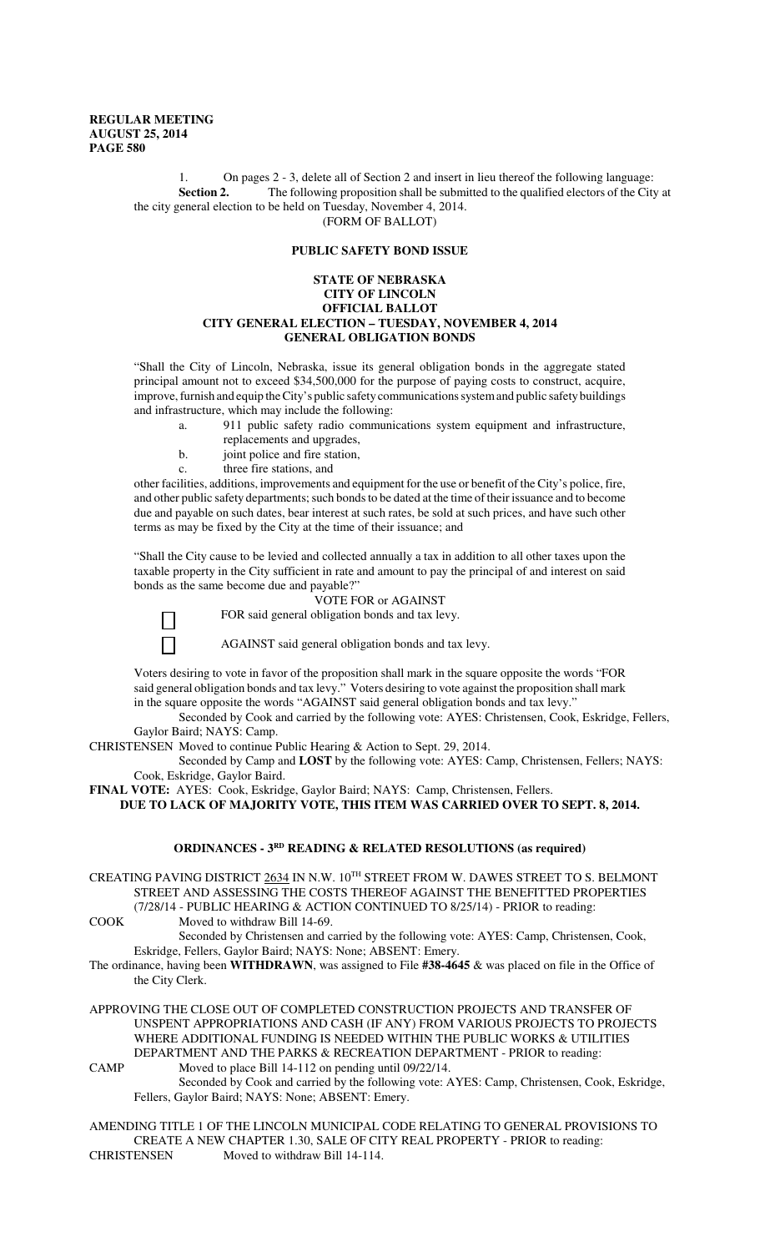1. On pages 2 - 3, delete all of Section 2 and insert in lieu thereof the following language: **Section 2.** The following proposition shall be submitted to the qualified electors of the City at the city general election to be held on Tuesday, November 4, 2014. (FORM OF BALLOT)

# **PUBLIC SAFETY BOND ISSUE**

#### **STATE OF NEBRASKA CITY OF LINCOLN OFFICIAL BALLOT CITY GENERAL ELECTION – TUESDAY, NOVEMBER 4, 2014 GENERAL OBLIGATION BONDS**

"Shall the City of Lincoln, Nebraska, issue its general obligation bonds in the aggregate stated principal amount not to exceed \$34,500,000 for the purpose of paying costs to construct, acquire, improve, furnish and equip the City's public safety communications system and public safety buildings and infrastructure, which may include the following:

- a. 911 public safety radio communications system equipment and infrastructure,
- replacements and upgrades,
- b. joint police and fire station,
- c. three fire stations, and

other facilities, additions, improvements and equipment for the use or benefit of the City's police, fire, and other public safety departments; such bonds to be dated at the time of their issuance and to become due and payable on such dates, bear interest at such rates, be sold at such prices, and have such other terms as may be fixed by the City at the time of their issuance; and

"Shall the City cause to be levied and collected annually a tax in addition to all other taxes upon the taxable property in the City sufficient in rate and amount to pay the principal of and interest on said bonds as the same become due and payable?"

VOTE FOR or AGAINST

FOR said general obligation bonds and tax levy.

 $\mathsf{L}$ 

AGAINST said general obligation bonds and tax levy.

Voters desiring to vote in favor of the proposition shall mark in the square opposite the words "FOR said general obligation bonds and tax levy." Voters desiring to vote against the proposition shall mark in the square opposite the words "AGAINST said general obligation bonds and tax levy."

Seconded by Cook and carried by the following vote: AYES: Christensen, Cook, Eskridge, Fellers, Gaylor Baird; NAYS: Camp.

CHRISTENSEN Moved to continue Public Hearing & Action to Sept. 29, 2014.

Seconded by Camp and **LOST** by the following vote: AYES: Camp, Christensen, Fellers; NAYS: Cook, Eskridge, Gaylor Baird.

**FINAL VOTE:** AYES: Cook, Eskridge, Gaylor Baird; NAYS: Camp, Christensen, Fellers.

**DUE TO LACK OF MAJORITY VOTE, THIS ITEM WAS CARRIED OVER TO SEPT. 8, 2014.**

# **ORDINANCES - 3RD READING & RELATED RESOLUTIONS (as required)**

CREATING PAVING DISTRICT 2634 IN N.W. 10TH STREET FROM W. DAWES STREET TO S. BELMONT STREET AND ASSESSING THE COSTS THEREOF AGAINST THE BENEFITTED PROPERTIES (7/28/14 - PUBLIC HEARING & ACTION CONTINUED TO 8/25/14) - PRIOR to reading:

COOK Moved to withdraw Bill 14-69.

Seconded by Christensen and carried by the following vote: AYES: Camp, Christensen, Cook, Eskridge, Fellers, Gaylor Baird; NAYS: None; ABSENT: Emery.

- The ordinance, having been **WITHDRAWN**, was assigned to File **#38-4645** & was placed on file in the Office of the City Clerk.
- APPROVING THE CLOSE OUT OF COMPLETED CONSTRUCTION PROJECTS AND TRANSFER OF UNSPENT APPROPRIATIONS AND CASH (IF ANY) FROM VARIOUS PROJECTS TO PROJECTS WHERE ADDITIONAL FUNDING IS NEEDED WITHIN THE PUBLIC WORKS & UTILITIES DEPARTMENT AND THE PARKS & RECREATION DEPARTMENT - PRIOR to reading:
- CAMP Moved to place Bill 14-112 on pending until 09/22/14. Seconded by Cook and carried by the following vote: AYES: Camp, Christensen, Cook, Eskridge, Fellers, Gaylor Baird; NAYS: None; ABSENT: Emery.

AMENDING TITLE 1 OF THE LINCOLN MUNICIPAL CODE RELATING TO GENERAL PROVISIONS TO CREATE A NEW CHAPTER 1.30, SALE OF CITY REAL PROPERTY - PRIOR to reading: CHRISTENSEN Moved to withdraw Bill 14-114.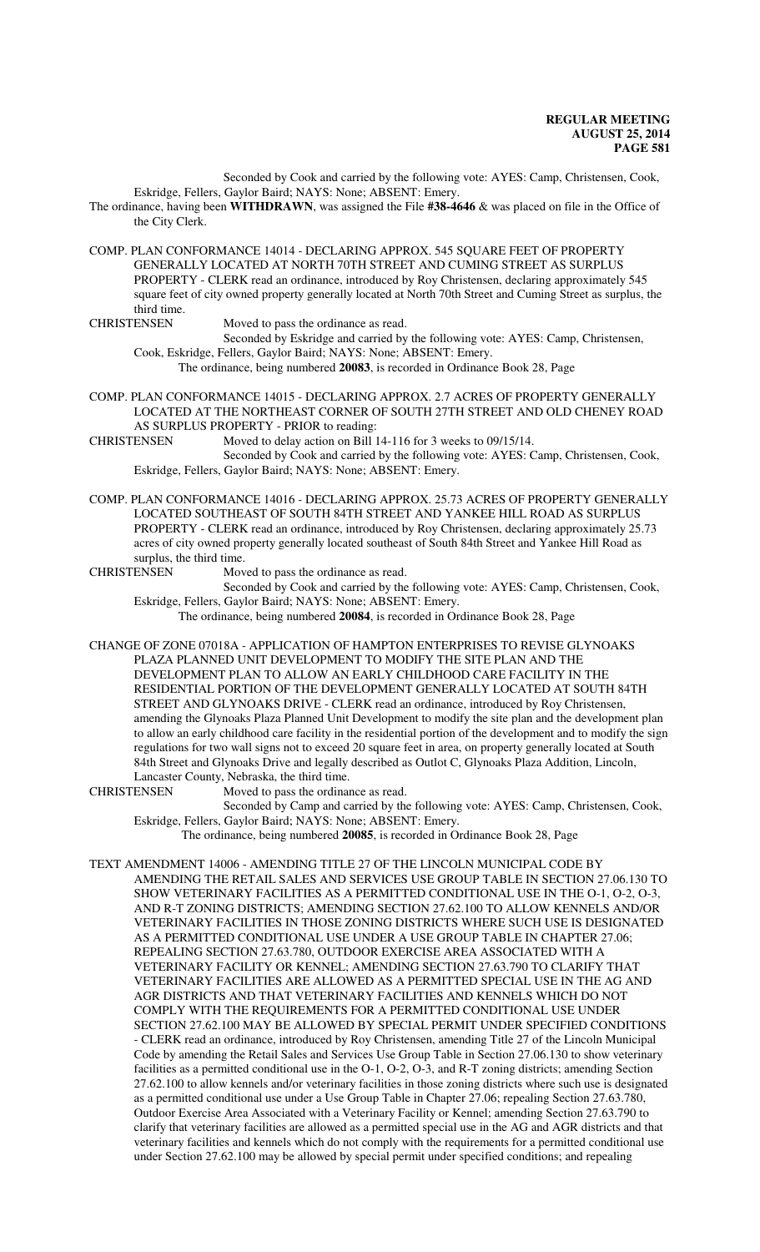Seconded by Cook and carried by the following vote: AYES: Camp, Christensen, Cook, Eskridge, Fellers, Gaylor Baird; NAYS: None; ABSENT: Emery.

The ordinance, having been **WITHDRAWN**, was assigned the File **#38-4646** & was placed on file in the Office of the City Clerk.

COMP. PLAN CONFORMANCE 14014 - DECLARING APPROX. 545 SQUARE FEET OF PROPERTY GENERALLY LOCATED AT NORTH 70TH STREET AND CUMING STREET AS SURPLUS PROPERTY - CLERK read an ordinance, introduced by Roy Christensen, declaring approximately 545 square feet of city owned property generally located at North 70th Street and Cuming Street as surplus, the third time.<br>CHRISTENSEN

Moved to pass the ordinance as read.

Seconded by Eskridge and carried by the following vote: AYES: Camp, Christensen, Cook, Eskridge, Fellers, Gaylor Baird; NAYS: None; ABSENT: Emery.

The ordinance, being numbered **20083**, is recorded in Ordinance Book 28, Page

- COMP. PLAN CONFORMANCE 14015 DECLARING APPROX. 2.7 ACRES OF PROPERTY GENERALLY LOCATED AT THE NORTHEAST CORNER OF SOUTH 27TH STREET AND OLD CHENEY ROAD AS SURPLUS PROPERTY - PRIOR to reading:
- CHRISTENSEN Moved to delay action on Bill 14-116 for 3 weeks to 09/15/14. Seconded by Cook and carried by the following vote: AYES: Camp, Christensen, Cook,

Eskridge, Fellers, Gaylor Baird; NAYS: None; ABSENT: Emery.

COMP. PLAN CONFORMANCE 14016 - DECLARING APPROX. 25.73 ACRES OF PROPERTY GENERALLY LOCATED SOUTHEAST OF SOUTH 84TH STREET AND YANKEE HILL ROAD AS SURPLUS PROPERTY - CLERK read an ordinance, introduced by Roy Christensen, declaring approximately 25.73 acres of city owned property generally located southeast of South 84th Street and Yankee Hill Road as surplus, the third time.

CHRISTENSEN Moved to pass the ordinance as read.

Seconded by Cook and carried by the following vote: AYES: Camp, Christensen, Cook, Eskridge, Fellers, Gaylor Baird; NAYS: None; ABSENT: Emery.

The ordinance, being numbered **20084**, is recorded in Ordinance Book 28, Page

CHANGE OF ZONE 07018A - APPLICATION OF HAMPTON ENTERPRISES TO REVISE GLYNOAKS PLAZA PLANNED UNIT DEVELOPMENT TO MODIFY THE SITE PLAN AND THE DEVELOPMENT PLAN TO ALLOW AN EARLY CHILDHOOD CARE FACILITY IN THE RESIDENTIAL PORTION OF THE DEVELOPMENT GENERALLY LOCATED AT SOUTH 84TH STREET AND GLYNOAKS DRIVE - CLERK read an ordinance, introduced by Roy Christensen, amending the Glynoaks Plaza Planned Unit Development to modify the site plan and the development plan to allow an early childhood care facility in the residential portion of the development and to modify the sign regulations for two wall signs not to exceed 20 square feet in area, on property generally located at South 84th Street and Glynoaks Drive and legally described as Outlot C, Glynoaks Plaza Addition, Lincoln, Lancaster County, Nebraska, the third time.

CHRISTENSEN Moved to pass the ordinance as read.

Seconded by Camp and carried by the following vote: AYES: Camp, Christensen, Cook, Eskridge, Fellers, Gaylor Baird; NAYS: None; ABSENT: Emery.

The ordinance, being numbered **20085**, is recorded in Ordinance Book 28, Page

TEXT AMENDMENT 14006 - AMENDING TITLE 27 OF THE LINCOLN MUNICIPAL CODE BY AMENDING THE RETAIL SALES AND SERVICES USE GROUP TABLE IN SECTION 27.06.130 TO SHOW VETERINARY FACILITIES AS A PERMITTED CONDITIONAL USE IN THE O-1, O-2, O-3, AND R-T ZONING DISTRICTS; AMENDING SECTION 27.62.100 TO ALLOW KENNELS AND/OR VETERINARY FACILITIES IN THOSE ZONING DISTRICTS WHERE SUCH USE IS DESIGNATED AS A PERMITTED CONDITIONAL USE UNDER A USE GROUP TABLE IN CHAPTER 27.06; REPEALING SECTION 27.63.780, OUTDOOR EXERCISE AREA ASSOCIATED WITH A VETERINARY FACILITY OR KENNEL; AMENDING SECTION 27.63.790 TO CLARIFY THAT VETERINARY FACILITIES ARE ALLOWED AS A PERMITTED SPECIAL USE IN THE AG AND AGR DISTRICTS AND THAT VETERINARY FACILITIES AND KENNELS WHICH DO NOT COMPLY WITH THE REQUIREMENTS FOR A PERMITTED CONDITIONAL USE UNDER SECTION 27.62.100 MAY BE ALLOWED BY SPECIAL PERMIT UNDER SPECIFIED CONDITIONS - CLERK read an ordinance, introduced by Roy Christensen, amending Title 27 of the Lincoln Municipal Code by amending the Retail Sales and Services Use Group Table in Section 27.06.130 to show veterinary facilities as a permitted conditional use in the O-1, O-2, O-3, and R-T zoning districts; amending Section 27.62.100 to allow kennels and/or veterinary facilities in those zoning districts where such use is designated as a permitted conditional use under a Use Group Table in Chapter 27.06; repealing Section 27.63.780, Outdoor Exercise Area Associated with a Veterinary Facility or Kennel; amending Section 27.63.790 to clarify that veterinary facilities are allowed as a permitted special use in the AG and AGR districts and that veterinary facilities and kennels which do not comply with the requirements for a permitted conditional use under Section 27.62.100 may be allowed by special permit under specified conditions; and repealing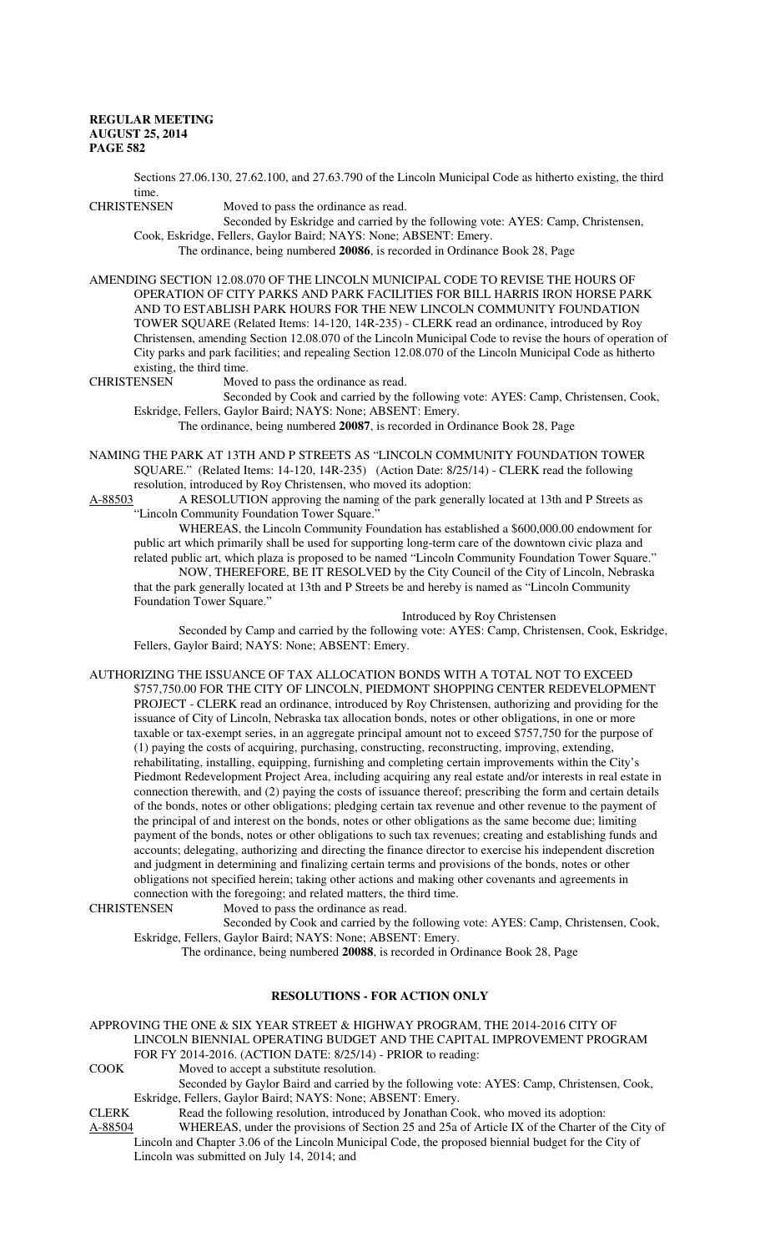Sections 27.06.130, 27.62.100, and 27.63.790 of the Lincoln Municipal Code as hitherto existing, the third

time.<br>CHRISTENSEN

Seconded by Eskridge and carried by the following vote: AYES: Camp, Christensen, Cook, Eskridge, Fellers, Gaylor Baird; NAYS: None; ABSENT: Emery.

The ordinance, being numbered **20086**, is recorded in Ordinance Book 28, Page

Moved to pass the ordinance as read.

AMENDING SECTION 12.08.070 OF THE LINCOLN MUNICIPAL CODE TO REVISE THE HOURS OF OPERATION OF CITY PARKS AND PARK FACILITIES FOR BILL HARRIS IRON HORSE PARK AND TO ESTABLISH PARK HOURS FOR THE NEW LINCOLN COMMUNITY FOUNDATION TOWER SQUARE (Related Items: 14-120, 14R-235) - CLERK read an ordinance, introduced by Roy Christensen, amending Section 12.08.070 of the Lincoln Municipal Code to revise the hours of operation of City parks and park facilities; and repealing Section 12.08.070 of the Lincoln Municipal Code as hitherto existing, the third time.<br>CHRISTENSEN Move

Moved to pass the ordinance as read.

Seconded by Cook and carried by the following vote: AYES: Camp, Christensen, Cook, Eskridge, Fellers, Gaylor Baird; NAYS: None; ABSENT: Emery.

The ordinance, being numbered **20087**, is recorded in Ordinance Book 28, Page

NAMING THE PARK AT 13TH AND P STREETS AS "LINCOLN COMMUNITY FOUNDATION TOWER SQUARE." (Related Items: 14-120, 14R-235) (Action Date: 8/25/14) - CLERK read the following resolution, introduced by Roy Christensen, who moved its adoption:

A-88503 A RESOLUTION approving the naming of the park generally located at 13th and P Streets as "Lincoln Community Foundation Tower Square."

WHEREAS, the Lincoln Community Foundation has established a \$600,000.00 endowment for public art which primarily shall be used for supporting long-term care of the downtown civic plaza and related public art, which plaza is proposed to be named "Lincoln Community Foundation Tower Square." NOW, THEREFORE, BE IT RESOLVED by the City Council of the City of Lincoln, Nebraska that the park generally located at 13th and P Streets be and hereby is named as "Lincoln Community Foundation Tower Square."

Introduced by Roy Christensen

Seconded by Camp and carried by the following vote: AYES: Camp, Christensen, Cook, Eskridge, Fellers, Gaylor Baird; NAYS: None; ABSENT: Emery.

AUTHORIZING THE ISSUANCE OF TAX ALLOCATION BONDS WITH A TOTAL NOT TO EXCEED \$757,750.00 FOR THE CITY OF LINCOLN, PIEDMONT SHOPPING CENTER REDEVELOPMENT PROJECT - CLERK read an ordinance, introduced by Roy Christensen, authorizing and providing for the issuance of City of Lincoln, Nebraska tax allocation bonds, notes or other obligations, in one or more taxable or tax-exempt series, in an aggregate principal amount not to exceed \$757,750 for the purpose of (1) paying the costs of acquiring, purchasing, constructing, reconstructing, improving, extending, rehabilitating, installing, equipping, furnishing and completing certain improvements within the City's Piedmont Redevelopment Project Area, including acquiring any real estate and/or interests in real estate in connection therewith, and (2) paying the costs of issuance thereof; prescribing the form and certain details of the bonds, notes or other obligations; pledging certain tax revenue and other revenue to the payment of the principal of and interest on the bonds, notes or other obligations as the same become due; limiting

payment of the bonds, notes or other obligations to such tax revenues; creating and establishing funds and accounts; delegating, authorizing and directing the finance director to exercise his independent discretion and judgment in determining and finalizing certain terms and provisions of the bonds, notes or other obligations not specified herein; taking other actions and making other covenants and agreements in connection with the foregoing; and related matters, the third time.<br>CHRISTENSEN Moved to pass the ordinance as read.

Moved to pass the ordinance as read.

Seconded by Cook and carried by the following vote: AYES: Camp, Christensen, Cook, Eskridge, Fellers, Gaylor Baird; NAYS: None; ABSENT: Emery.

The ordinance, being numbered **20088**, is recorded in Ordinance Book 28, Page

# **RESOLUTIONS - FOR ACTION ONLY**

#### APPROVING THE ONE & SIX YEAR STREET & HIGHWAY PROGRAM, THE 2014-2016 CITY OF LINCOLN BIENNIAL OPERATING BUDGET AND THE CAPITAL IMPROVEMENT PROGRAM FOR FY 2014-2016. (ACTION DATE: 8/25/14) - PRIOR to reading:

COOK Moved to accept a substitute resolution.

Seconded by Gaylor Baird and carried by the following vote: AYES: Camp, Christensen, Cook, Eskridge, Fellers, Gaylor Baird; NAYS: None; ABSENT: Emery.

CLERK Read the following resolution, introduced by Jonathan Cook, who moved its adoption:

A-88504 WHEREAS, under the provisions of Section 25 and 25a of Article IX of the Charter of the City of Lincoln and Chapter 3.06 of the Lincoln Municipal Code, the proposed biennial budget for the City of Lincoln was submitted on July 14, 2014; and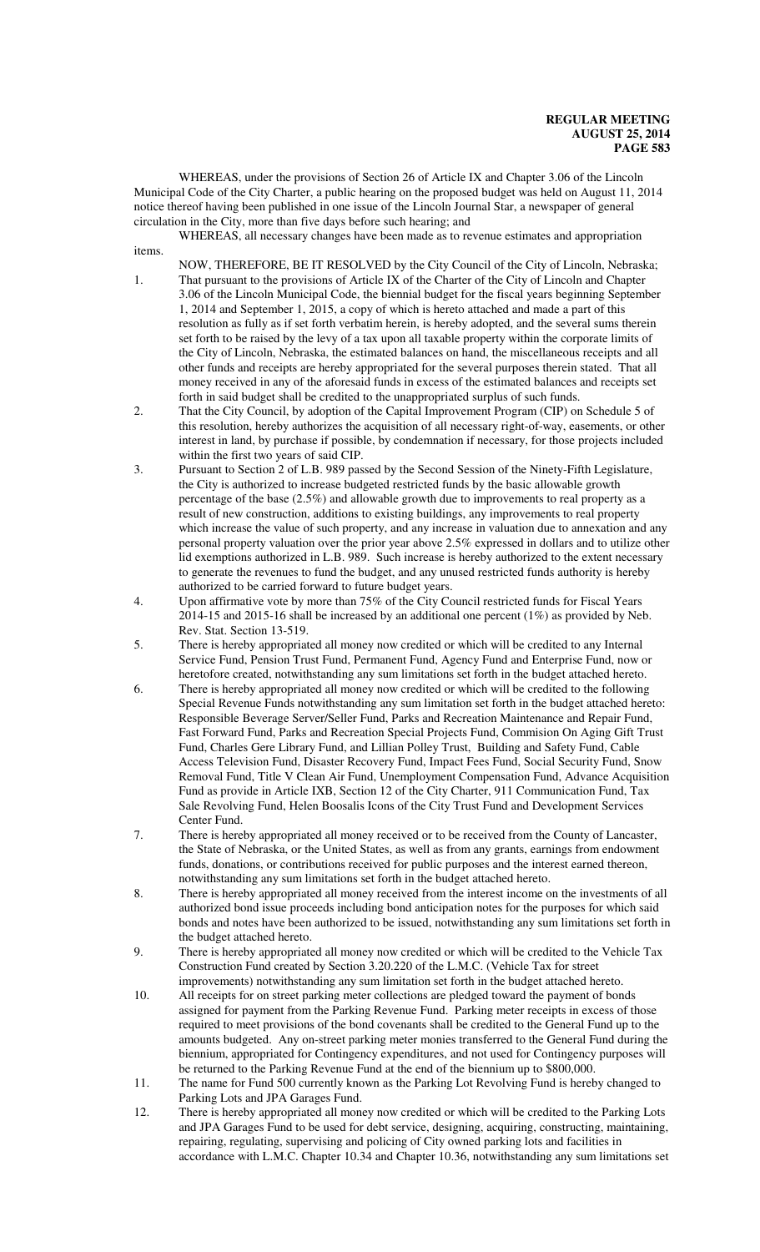WHEREAS, under the provisions of Section 26 of Article IX and Chapter 3.06 of the Lincoln Municipal Code of the City Charter, a public hearing on the proposed budget was held on August 11, 2014 notice thereof having been published in one issue of the Lincoln Journal Star, a newspaper of general circulation in the City, more than five days before such hearing; and

WHEREAS, all necessary changes have been made as to revenue estimates and appropriation items.

- NOW, THEREFORE, BE IT RESOLVED by the City Council of the City of Lincoln, Nebraska; 1. That pursuant to the provisions of Article IX of the Charter of the City of Lincoln and Chapter 3.06 of the Lincoln Municipal Code, the biennial budget for the fiscal years beginning September 1, 2014 and September 1, 2015, a copy of which is hereto attached and made a part of this resolution as fully as if set forth verbatim herein, is hereby adopted, and the several sums therein set forth to be raised by the levy of a tax upon all taxable property within the corporate limits of the City of Lincoln, Nebraska, the estimated balances on hand, the miscellaneous receipts and all other funds and receipts are hereby appropriated for the several purposes therein stated. That all money received in any of the aforesaid funds in excess of the estimated balances and receipts set forth in said budget shall be credited to the unappropriated surplus of such funds.
- 2. That the City Council, by adoption of the Capital Improvement Program (CIP) on Schedule 5 of this resolution, hereby authorizes the acquisition of all necessary right-of-way, easements, or other interest in land, by purchase if possible, by condemnation if necessary, for those projects included within the first two years of said CIP.
- 3. Pursuant to Section 2 of L.B. 989 passed by the Second Session of the Ninety-Fifth Legislature, the City is authorized to increase budgeted restricted funds by the basic allowable growth percentage of the base (2.5%) and allowable growth due to improvements to real property as a result of new construction, additions to existing buildings, any improvements to real property which increase the value of such property, and any increase in valuation due to annexation and any personal property valuation over the prior year above 2.5% expressed in dollars and to utilize other lid exemptions authorized in L.B. 989. Such increase is hereby authorized to the extent necessary to generate the revenues to fund the budget, and any unused restricted funds authority is hereby authorized to be carried forward to future budget years.
- 4. Upon affirmative vote by more than 75% of the City Council restricted funds for Fiscal Years 2014-15 and 2015-16 shall be increased by an additional one percent (1%) as provided by Neb. Rev. Stat. Section 13-519.
- 5. There is hereby appropriated all money now credited or which will be credited to any Internal Service Fund, Pension Trust Fund, Permanent Fund, Agency Fund and Enterprise Fund, now or heretofore created, notwithstanding any sum limitations set forth in the budget attached hereto.
- 6. There is hereby appropriated all money now credited or which will be credited to the following Special Revenue Funds notwithstanding any sum limitation set forth in the budget attached hereto: Responsible Beverage Server/Seller Fund, Parks and Recreation Maintenance and Repair Fund, Fast Forward Fund, Parks and Recreation Special Projects Fund, Commision On Aging Gift Trust Fund, Charles Gere Library Fund, and Lillian Polley Trust, Building and Safety Fund, Cable Access Television Fund, Disaster Recovery Fund, Impact Fees Fund, Social Security Fund, Snow Removal Fund, Title V Clean Air Fund, Unemployment Compensation Fund, Advance Acquisition Fund as provide in Article IXB, Section 12 of the City Charter, 911 Communication Fund, Tax Sale Revolving Fund, Helen Boosalis Icons of the City Trust Fund and Development Services Center Fund.
- 7. There is hereby appropriated all money received or to be received from the County of Lancaster, the State of Nebraska, or the United States, as well as from any grants, earnings from endowment funds, donations, or contributions received for public purposes and the interest earned thereon, notwithstanding any sum limitations set forth in the budget attached hereto.
- 8. There is hereby appropriated all money received from the interest income on the investments of all authorized bond issue proceeds including bond anticipation notes for the purposes for which said bonds and notes have been authorized to be issued, notwithstanding any sum limitations set forth in the budget attached hereto.
- 9. There is hereby appropriated all money now credited or which will be credited to the Vehicle Tax Construction Fund created by Section 3.20.220 of the L.M.C. (Vehicle Tax for street improvements) notwithstanding any sum limitation set forth in the budget attached hereto.
- 10. All receipts for on street parking meter collections are pledged toward the payment of bonds assigned for payment from the Parking Revenue Fund. Parking meter receipts in excess of those required to meet provisions of the bond covenants shall be credited to the General Fund up to the amounts budgeted. Any on-street parking meter monies transferred to the General Fund during the biennium, appropriated for Contingency expenditures, and not used for Contingency purposes will be returned to the Parking Revenue Fund at the end of the biennium up to \$800,000.
- 11. The name for Fund 500 currently known as the Parking Lot Revolving Fund is hereby changed to Parking Lots and JPA Garages Fund.
- 12. There is hereby appropriated all money now credited or which will be credited to the Parking Lots and JPA Garages Fund to be used for debt service, designing, acquiring, constructing, maintaining, repairing, regulating, supervising and policing of City owned parking lots and facilities in accordance with L.M.C. Chapter 10.34 and Chapter 10.36, notwithstanding any sum limitations set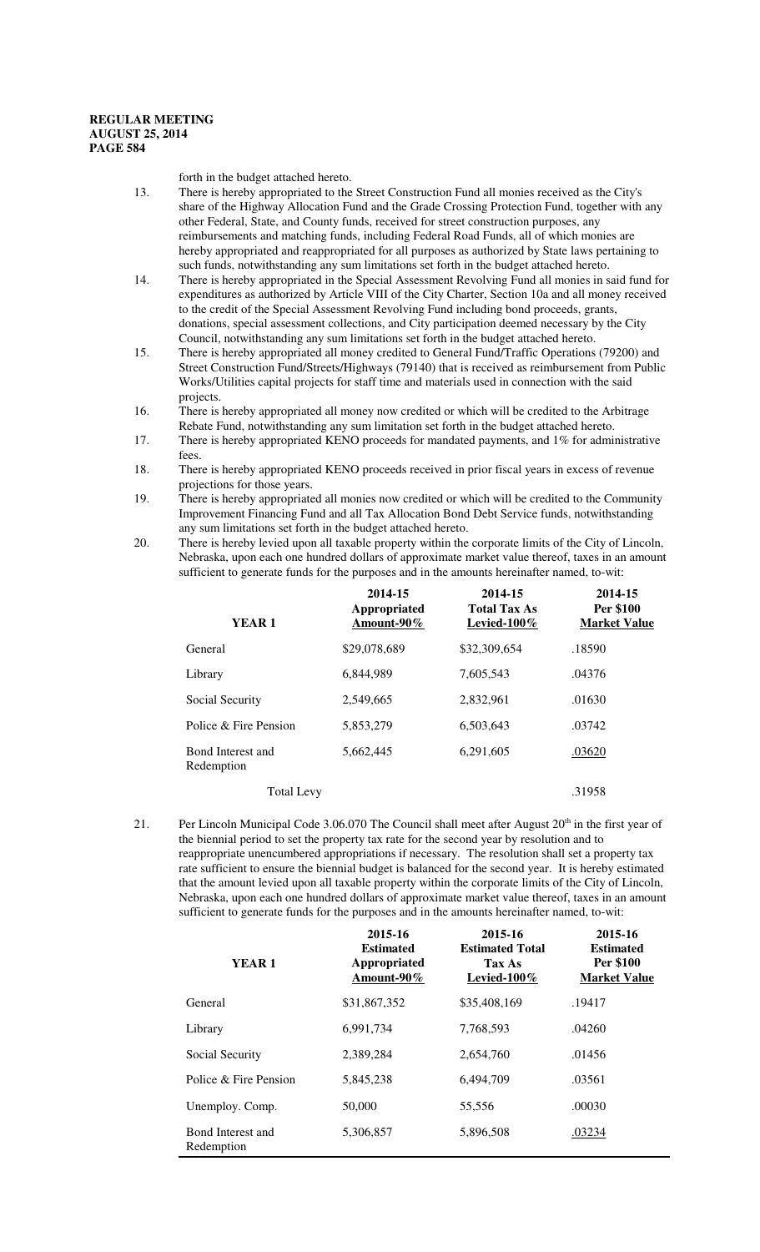forth in the budget attached hereto.

- 13. There is hereby appropriated to the Street Construction Fund all monies received as the City's share of the Highway Allocation Fund and the Grade Crossing Protection Fund, together with any other Federal, State, and County funds, received for street construction purposes, any reimbursements and matching funds, including Federal Road Funds, all of which monies are hereby appropriated and reappropriated for all purposes as authorized by State laws pertaining to such funds, notwithstanding any sum limitations set forth in the budget attached hereto.
- 14. There is hereby appropriated in the Special Assessment Revolving Fund all monies in said fund for expenditures as authorized by Article VIII of the City Charter, Section 10a and all money received to the credit of the Special Assessment Revolving Fund including bond proceeds, grants, donations, special assessment collections, and City participation deemed necessary by the City Council, notwithstanding any sum limitations set forth in the budget attached hereto.
- 15. There is hereby appropriated all money credited to General Fund/Traffic Operations (79200) and Street Construction Fund/Streets/Highways (79140) that is received as reimbursement from Public Works/Utilities capital projects for staff time and materials used in connection with the said projects.
- 16. There is hereby appropriated all money now credited or which will be credited to the Arbitrage Rebate Fund, notwithstanding any sum limitation set forth in the budget attached hereto.
- 17. There is hereby appropriated KENO proceeds for mandated payments, and 1% for administrative fees.
- 18. There is hereby appropriated KENO proceeds received in prior fiscal years in excess of revenue projections for those years.
- 19. There is hereby appropriated all monies now credited or which will be credited to the Community Improvement Financing Fund and all Tax Allocation Bond Debt Service funds, notwithstanding any sum limitations set forth in the budget attached hereto.
- 20. There is hereby levied upon all taxable property within the corporate limits of the City of Lincoln, Nebraska, upon each one hundred dollars of approximate market value thereof, taxes in an amount sufficient to generate funds for the purposes and in the amounts hereinafter named, to-wit:

| YEAR <sub>1</sub>               | 2014-15<br>Appropriated<br>Amount-90% | 2014-15<br><b>Total Tax As</b><br>Levied- $100\%$ | 2014-15<br>Per \$100<br><b>Market Value</b> |
|---------------------------------|---------------------------------------|---------------------------------------------------|---------------------------------------------|
| General                         | \$29,078,689                          | \$32,309,654                                      | .18590                                      |
| Library                         | 6,844,989                             | 7,605,543                                         | .04376                                      |
| Social Security                 | 2,549,665                             | 2,832,961                                         | .01630                                      |
| Police & Fire Pension           | 5,853,279                             | 6,503,643                                         | .03742                                      |
| Bond Interest and<br>Redemption | 5,662,445                             | 6,291,605                                         | .03620                                      |
| <b>Total Levy</b>               |                                       |                                                   | .31958                                      |

21. Per Lincoln Municipal Code 3.06.070 The Council shall meet after August  $20<sup>th</sup>$  in the first year of the biennial period to set the property tax rate for the second year by resolution and to reappropriate unencumbered appropriations if necessary. The resolution shall set a property tax rate sufficient to ensure the biennial budget is balanced for the second year. It is hereby estimated that the amount levied upon all taxable property within the corporate limits of the City of Lincoln, Nebraska, upon each one hundred dollars of approximate market value thereof, taxes in an amount sufficient to generate funds for the purposes and in the amounts hereinafter named, to-wit:

| YEAR <sub>1</sub>               | 2015-16<br><b>Estimated</b><br>Appropriated<br>Amount-90% | 2015-16<br><b>Estimated Total</b><br><b>Tax As</b><br>Levied- $100\%$ | 2015-16<br><b>Estimated</b><br>Per \$100<br><b>Market Value</b> |
|---------------------------------|-----------------------------------------------------------|-----------------------------------------------------------------------|-----------------------------------------------------------------|
| General                         | \$31,867,352                                              | \$35,408,169                                                          | .19417                                                          |
| Library                         | 6,991,734                                                 | 7.768.593                                                             | .04260                                                          |
| Social Security                 | 2.389.284                                                 | 2,654,760                                                             | .01456                                                          |
| Police & Fire Pension           | 5.845.238                                                 | 6,494,709                                                             | .03561                                                          |
| Unemploy. Comp.                 | 50,000                                                    | 55,556                                                                | .00030                                                          |
| Bond Interest and<br>Redemption | 5,306,857                                                 | 5,896,508                                                             | .03234                                                          |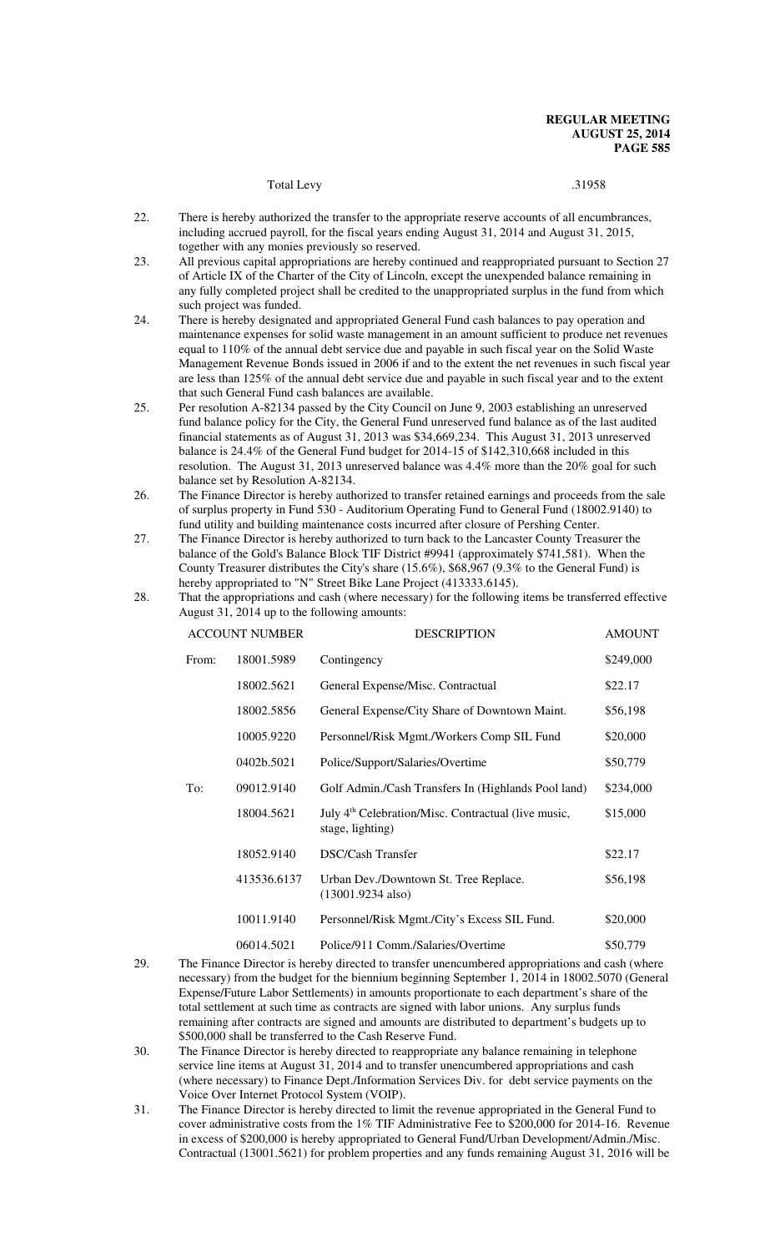# Total Levy 31958

- 22. There is hereby authorized the transfer to the appropriate reserve accounts of all encumbrances, including accrued payroll, for the fiscal years ending August 31, 2014 and August 31, 2015, together with any monies previously so reserved.
- 23. All previous capital appropriations are hereby continued and reappropriated pursuant to Section 27 of Article IX of the Charter of the City of Lincoln, except the unexpended balance remaining in any fully completed project shall be credited to the unappropriated surplus in the fund from which such project was funded.
- 24. There is hereby designated and appropriated General Fund cash balances to pay operation and maintenance expenses for solid waste management in an amount sufficient to produce net revenues equal to 110% of the annual debt service due and payable in such fiscal year on the Solid Waste Management Revenue Bonds issued in 2006 if and to the extent the net revenues in such fiscal year are less than 125% of the annual debt service due and payable in such fiscal year and to the extent that such General Fund cash balances are available.
- 25. Per resolution A-82134 passed by the City Council on June 9, 2003 establishing an unreserved fund balance policy for the City, the General Fund unreserved fund balance as of the last audited financial statements as of August 31, 2013 was \$34,669,234. This August 31, 2013 unreserved balance is 24.4% of the General Fund budget for 2014-15 of \$142,310,668 included in this resolution. The August 31, 2013 unreserved balance was 4.4% more than the 20% goal for such balance set by Resolution A-82134.
- 26. The Finance Director is hereby authorized to transfer retained earnings and proceeds from the sale of surplus property in Fund 530 - Auditorium Operating Fund to General Fund (18002.9140) to fund utility and building maintenance costs incurred after closure of Pershing Center.
- 27. The Finance Director is hereby authorized to turn back to the Lancaster County Treasurer the balance of the Gold's Balance Block TIF District #9941 (approximately \$741,581). When the County Treasurer distributes the City's share (15.6%), \$68,967 (9.3% to the General Fund) is hereby appropriated to "N" Street Bike Lane Project (413333.6145).
- 28. That the appropriations and cash (where necessary) for the following items be transferred effective August 31, 2014 up to the following amounts:

| <b>ACCOUNT NUMBER</b> |             | <b>DESCRIPTION</b>                                                                  | <b>AMOUNT</b> |
|-----------------------|-------------|-------------------------------------------------------------------------------------|---------------|
| From:                 | 18001.5989  | Contingency                                                                         | \$249,000     |
|                       | 18002.5621  | General Expense/Misc. Contractual                                                   | \$22.17       |
|                       | 18002.5856  | General Expense/City Share of Downtown Maint.                                       | \$56,198      |
|                       | 10005.9220  | Personnel/Risk Mgmt./Workers Comp SIL Fund                                          | \$20,000      |
|                       | 0402b.5021  | Police/Support/Salaries/Overtime                                                    | \$50,779      |
| To:                   | 09012.9140  | Golf Admin./Cash Transfers In (Highlands Pool land)                                 | \$234,000     |
|                       | 18004.5621  | July 4 <sup>th</sup> Celebration/Misc. Contractual (live music,<br>stage, lighting) | \$15,000      |
|                       | 18052.9140  | <b>DSC/Cash Transfer</b>                                                            | \$22.17       |
|                       | 413536.6137 | Urban Dev./Downtown St. Tree Replace.<br>$(13001.9234 \text{ also})$                | \$56,198      |
|                       | 10011.9140  | Personnel/Risk Mgmt./City's Excess SIL Fund.                                        | \$20,000      |
|                       | 06014.5021  | Police/911 Comm./Salaries/Overtime                                                  | \$50,779      |

- 29. The Finance Director is hereby directed to transfer unencumbered appropriations and cash (where necessary) from the budget for the biennium beginning September 1, 2014 in 18002.5070 (General Expense/Future Labor Settlements) in amounts proportionate to each department's share of the total settlement at such time as contracts are signed with labor unions. Any surplus funds remaining after contracts are signed and amounts are distributed to department's budgets up to \$500,000 shall be transferred to the Cash Reserve Fund.
- 30. The Finance Director is hereby directed to reappropriate any balance remaining in telephone service line items at August 31, 2014 and to transfer unencumbered appropriations and cash (where necessary) to Finance Dept./Information Services Div. for debt service payments on the Voice Over Internet Protocol System (VOIP).
- 31. The Finance Director is hereby directed to limit the revenue appropriated in the General Fund to cover administrative costs from the 1% TIF Administrative Fee to \$200,000 for 2014-16. Revenue in excess of \$200,000 is hereby appropriated to General Fund/Urban Development/Admin./Misc. Contractual (13001.5621) for problem properties and any funds remaining August 31, 2016 will be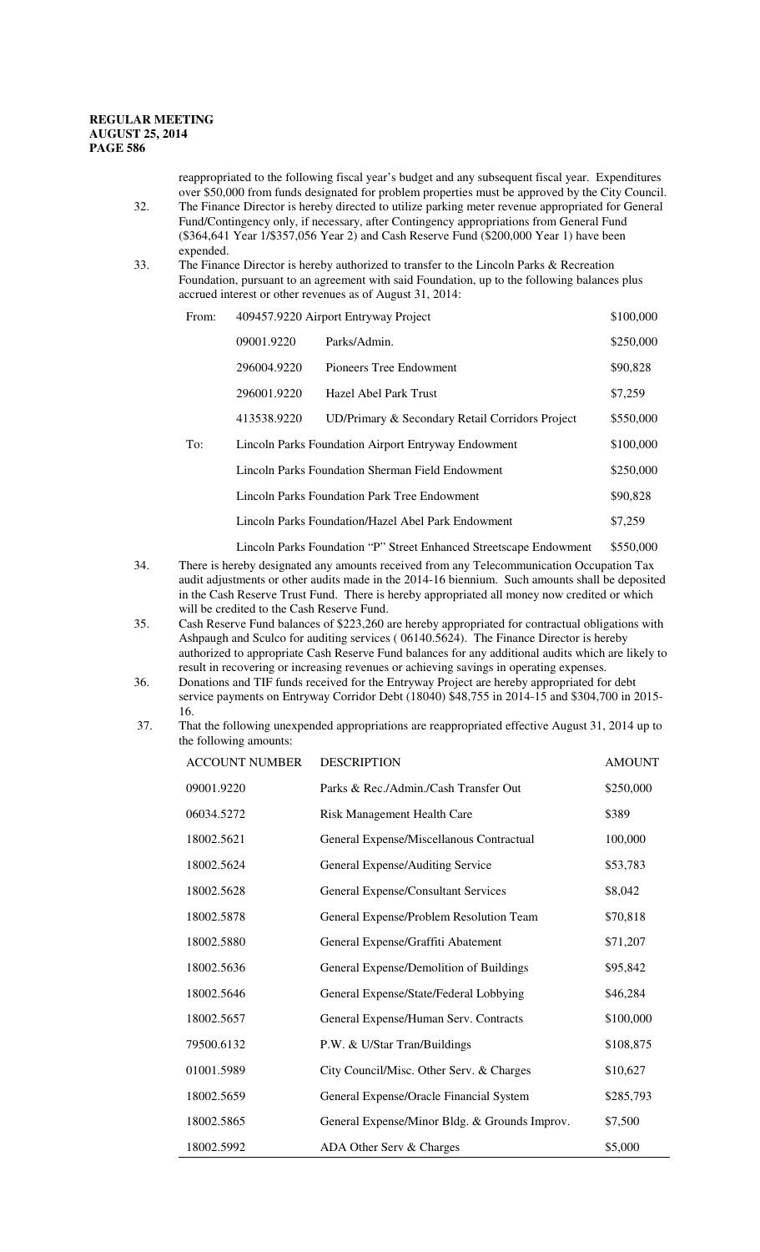reappropriated to the following fiscal year's budget and any subsequent fiscal year. Expenditures over \$50,000 from funds designated for problem properties must be approved by the City Council. 32. The Finance Director is hereby directed to utilize parking meter revenue appropriated for General

Fund/Contingency only, if necessary, after Contingency appropriations from General Fund (\$364,641 Year 1/\$357,056 Year 2) and Cash Reserve Fund (\$200,000 Year 1) have been expended.

#### 33. The Finance Director is hereby authorized to transfer to the Lincoln Parks & Recreation Foundation, pursuant to an agreement with said Foundation, up to the following balances plus accrued interest or other revenues as of August 31, 2014:

| From: | 409457.9220 Airport Entryway Project                |                                                    | \$100,000 |
|-------|-----------------------------------------------------|----------------------------------------------------|-----------|
|       | 09001.9220                                          | Parks/Admin.                                       | \$250,000 |
|       | 296004.9220                                         | Pioneers Tree Endowment                            | \$90,828  |
|       | 296001.9220                                         | Hazel Abel Park Trust                              | \$7,259   |
|       | 413538.9220                                         | UD/Primary & Secondary Retail Corridors Project    | \$550,000 |
| To:   | Lincoln Parks Foundation Airport Entryway Endowment |                                                    | \$100,000 |
|       | Lincoln Parks Foundation Sherman Field Endowment    |                                                    | \$250,000 |
|       | Lincoln Parks Foundation Park Tree Endowment        |                                                    | \$90,828  |
|       |                                                     | Lincoln Parks Foundation/Hazel Abel Park Endowment | \$7,259   |

Lincoln Parks Foundation "P" Street Enhanced Streetscape Endowment \$550,000

- 34. There is hereby designated any amounts received from any Telecommunication Occupation Tax audit adjustments or other audits made in the 2014-16 biennium. Such amounts shall be deposited in the Cash Reserve Trust Fund. There is hereby appropriated all money now credited or which will be credited to the Cash Reserve Fund.
- 35. Cash Reserve Fund balances of \$223,260 are hereby appropriated for contractual obligations with Ashpaugh and Sculco for auditing services ( 06140.5624). The Finance Director is hereby authorized to appropriate Cash Reserve Fund balances for any additional audits which are likely to result in recovering or increasing revenues or achieving savings in operating expenses.
- 36. Donations and TIF funds received for the Entryway Project are hereby appropriated for debt service payments on Entryway Corridor Debt (18040) \$48,755 in 2014-15 and \$304,700 in 2015- 16.
- 37. That the following unexpended appropriations are reappropriated effective August 31, 2014 up to the following amounts:

| <b>ACCOUNT NUMBER</b> | <b>DESCRIPTION</b>                            | <b>AMOUNT</b> |
|-----------------------|-----------------------------------------------|---------------|
| 09001.9220            | Parks & Rec./Admin./Cash Transfer Out         | \$250,000     |
| 06034.5272            | Risk Management Health Care                   | \$389         |
| 18002.5621            | General Expense/Miscellanous Contractual      | 100,000       |
| 18002.5624            | General Expense/Auditing Service              | \$53,783      |
| 18002.5628            | <b>General Expense/Consultant Services</b>    | \$8,042       |
| 18002.5878            | General Expense/Problem Resolution Team       | \$70,818      |
| 18002.5880            | General Expense/Graffiti Abatement            | \$71,207      |
| 18002.5636            | General Expense/Demolition of Buildings       | \$95,842      |
| 18002.5646            | General Expense/State/Federal Lobbying        | \$46,284      |
| 18002.5657            | General Expense/Human Serv. Contracts         | \$100,000     |
| 79500.6132            | P.W. & U/Star Tran/Buildings                  | \$108,875     |
| 01001.5989            | City Council/Misc. Other Serv. & Charges      | \$10,627      |
| 18002.5659            | General Expense/Oracle Financial System       | \$285,793     |
| 18002.5865            | General Expense/Minor Bldg. & Grounds Improv. | \$7,500       |
| 18002.5992            | ADA Other Serv & Charges                      | \$5,000       |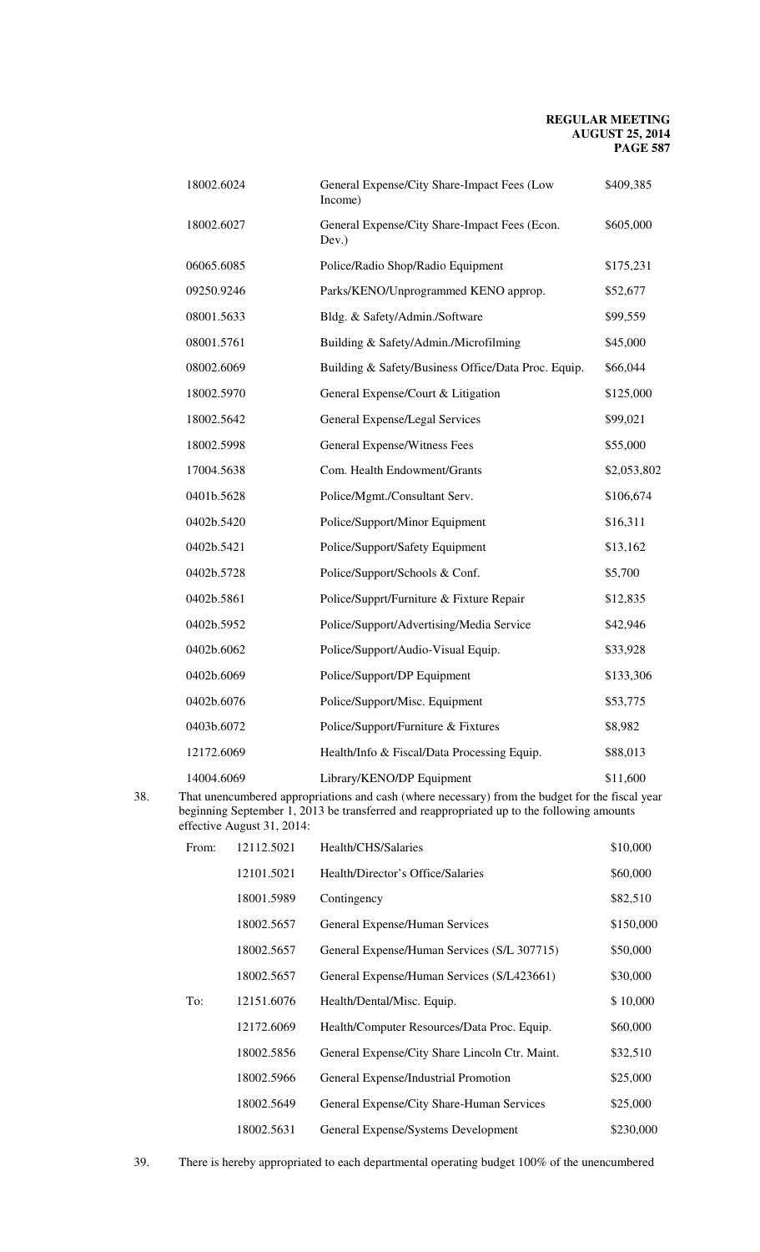| 18002.6024 | General Expense/City Share-Impact Fees (Low<br>Income) | \$409,385   |
|------------|--------------------------------------------------------|-------------|
| 18002.6027 | General Expense/City Share-Impact Fees (Econ.<br>Dev.) | \$605,000   |
| 06065.6085 | Police/Radio Shop/Radio Equipment                      | \$175,231   |
| 09250.9246 | Parks/KENO/Unprogrammed KENO approp.                   | \$52,677    |
| 08001.5633 | Bldg. & Safety/Admin./Software                         | \$99,559    |
| 08001.5761 | Building & Safety/Admin./Microfilming                  | \$45,000    |
| 08002.6069 | Building & Safety/Business Office/Data Proc. Equip.    | \$66,044    |
| 18002.5970 | General Expense/Court & Litigation                     | \$125,000   |
| 18002.5642 | General Expense/Legal Services                         | \$99,021    |
| 18002.5998 | General Expense/Witness Fees                           | \$55,000    |
| 17004.5638 | Com. Health Endowment/Grants                           | \$2,053,802 |
| 0401b.5628 | Police/Mgmt./Consultant Serv.                          | \$106,674   |
| 0402b.5420 | Police/Support/Minor Equipment                         | \$16,311    |
| 0402b.5421 | Police/Support/Safety Equipment                        | \$13,162    |
| 0402b.5728 | Police/Support/Schools & Conf.                         | \$5,700     |
| 0402b.5861 | Police/Supprt/Furniture & Fixture Repair               | \$12,835    |
| 0402b.5952 | Police/Support/Advertising/Media Service               | \$42,946    |
| 0402b.6062 | Police/Support/Audio-Visual Equip.                     | \$33,928    |
| 0402b.6069 | Police/Support/DP Equipment                            | \$133,306   |
| 0402b.6076 | Police/Support/Misc. Equipment                         | \$53,775    |
| 0403b.6072 | Police/Support/Furniture & Fixtures                    | \$8,982     |
| 12172.6069 | Health/Info & Fiscal/Data Processing Equip.            | \$88,013    |
| 14004.6069 | Library/KENO/DP Equipment                              | \$11,600    |

38. That unencumbered appropriations and cash (where necessary) from the budget for the fiscal year beginning September 1, 2013 be transferred and reappropriated up to the following amounts effective August 31, 2014:

| From: | 12112.5021 | Health/CHS/Salaries                            | \$10,000  |
|-------|------------|------------------------------------------------|-----------|
|       | 12101.5021 | Health/Director's Office/Salaries              | \$60,000  |
|       | 18001.5989 | Contingency                                    | \$82,510  |
|       | 18002.5657 | General Expense/Human Services                 | \$150,000 |
|       | 18002.5657 | General Expense/Human Services (S/L 307715)    | \$50,000  |
|       | 18002.5657 | General Expense/Human Services (S/L423661)     | \$30,000  |
| To:   | 12151.6076 | Health/Dental/Misc. Equip.                     | \$10,000  |
|       | 12172.6069 | Health/Computer Resources/Data Proc. Equip.    | \$60,000  |
|       | 18002.5856 | General Expense/City Share Lincoln Ctr. Maint. | \$32,510  |
|       | 18002.5966 | General Expense/Industrial Promotion           | \$25,000  |
|       | 18002.5649 | General Expense/City Share-Human Services      | \$25,000  |
|       | 18002.5631 | General Expense/Systems Development            | \$230,000 |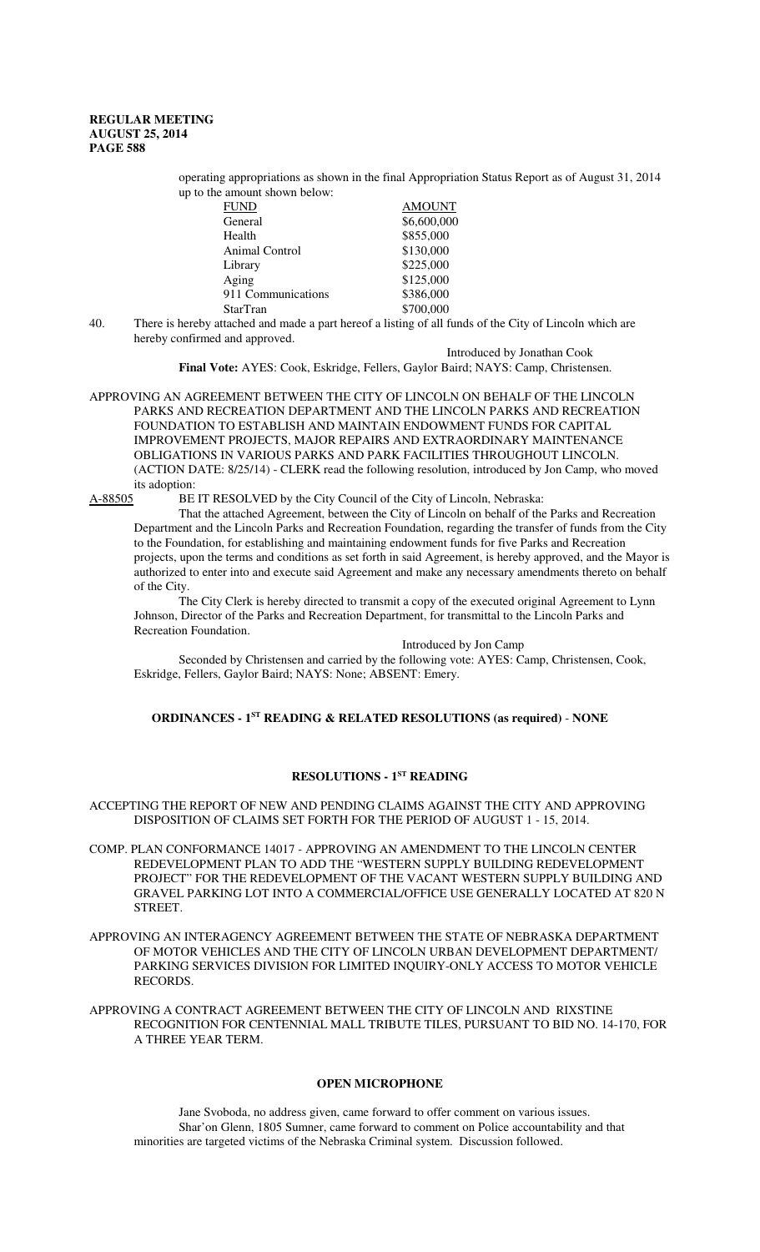operating appropriations as shown in the final Appropriation Status Report as of August 31, 2014 up to the amount shown below:

| <b>FUND</b>        | <b>AMOUNT</b> |
|--------------------|---------------|
| General            | \$6,600,000   |
| Health             | \$855,000     |
| Animal Control     | \$130,000     |
| Library            | \$225,000     |
| Aging              | \$125,000     |
| 911 Communications | \$386,000     |
| <b>StarTran</b>    | \$700,000     |

40. There is hereby attached and made a part hereof a listing of all funds of the City of Lincoln which are hereby confirmed and approved.

Introduced by Jonathan Cook

**Final Vote:** AYES: Cook, Eskridge, Fellers, Gaylor Baird; NAYS: Camp, Christensen.

APPROVING AN AGREEMENT BETWEEN THE CITY OF LINCOLN ON BEHALF OF THE LINCOLN PARKS AND RECREATION DEPARTMENT AND THE LINCOLN PARKS AND RECREATION FOUNDATION TO ESTABLISH AND MAINTAIN ENDOWMENT FUNDS FOR CAPITAL IMPROVEMENT PROJECTS, MAJOR REPAIRS AND EXTRAORDINARY MAINTENANCE OBLIGATIONS IN VARIOUS PARKS AND PARK FACILITIES THROUGHOUT LINCOLN. (ACTION DATE: 8/25/14) - CLERK read the following resolution, introduced by Jon Camp, who moved its adoption:

A-88505 BE IT RESOLVED by the City Council of the City of Lincoln, Nebraska:

That the attached Agreement, between the City of Lincoln on behalf of the Parks and Recreation Department and the Lincoln Parks and Recreation Foundation, regarding the transfer of funds from the City to the Foundation, for establishing and maintaining endowment funds for five Parks and Recreation projects, upon the terms and conditions as set forth in said Agreement, is hereby approved, and the Mayor is authorized to enter into and execute said Agreement and make any necessary amendments thereto on behalf of the City.

The City Clerk is hereby directed to transmit a copy of the executed original Agreement to Lynn Johnson, Director of the Parks and Recreation Department, for transmittal to the Lincoln Parks and Recreation Foundation.

Introduced by Jon Camp

Seconded by Christensen and carried by the following vote: AYES: Camp, Christensen, Cook, Eskridge, Fellers, Gaylor Baird; NAYS: None; ABSENT: Emery.

# **ORDINANCES - 1ST READING & RELATED RESOLUTIONS (as required)** - **NONE**

# **RESOLUTIONS - 1ST READING**

ACCEPTING THE REPORT OF NEW AND PENDING CLAIMS AGAINST THE CITY AND APPROVING DISPOSITION OF CLAIMS SET FORTH FOR THE PERIOD OF AUGUST 1 - 15, 2014.

COMP. PLAN CONFORMANCE 14017 - APPROVING AN AMENDMENT TO THE LINCOLN CENTER REDEVELOPMENT PLAN TO ADD THE "WESTERN SUPPLY BUILDING REDEVELOPMENT PROJECT" FOR THE REDEVELOPMENT OF THE VACANT WESTERN SUPPLY BUILDING AND GRAVEL PARKING LOT INTO A COMMERCIAL/OFFICE USE GENERALLY LOCATED AT 820 N **STREET** 

APPROVING AN INTERAGENCY AGREEMENT BETWEEN THE STATE OF NEBRASKA DEPARTMENT OF MOTOR VEHICLES AND THE CITY OF LINCOLN URBAN DEVELOPMENT DEPARTMENT/ PARKING SERVICES DIVISION FOR LIMITED INQUIRY-ONLY ACCESS TO MOTOR VEHICLE RECORDS.

APPROVING A CONTRACT AGREEMENT BETWEEN THE CITY OF LINCOLN AND RIXSTINE RECOGNITION FOR CENTENNIAL MALL TRIBUTE TILES, PURSUANT TO BID NO. 14-170, FOR A THREE YEAR TERM.

# **OPEN MICROPHONE**

Jane Svoboda, no address given, came forward to offer comment on various issues. Shar'on Glenn, 1805 Sumner, came forward to comment on Police accountability and that minorities are targeted victims of the Nebraska Criminal system. Discussion followed.